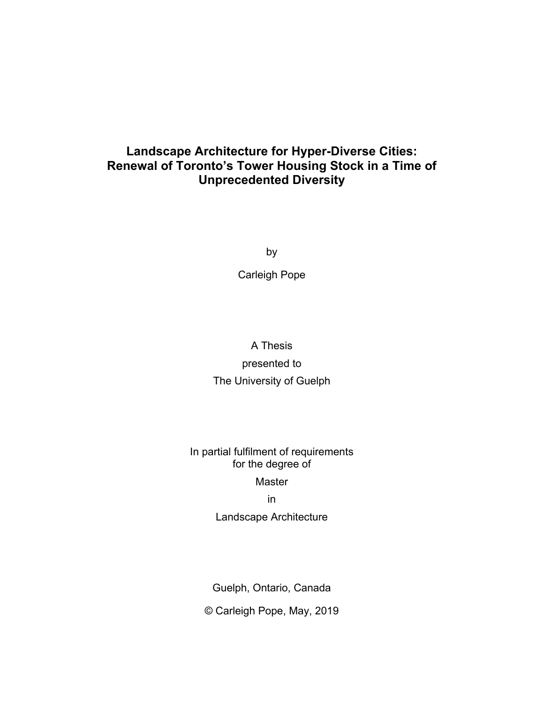## **Landscape Architecture for Hyper-Diverse Cities: Renewal of Toronto's Tower Housing Stock in a Time of Unprecedented Diversity**

by

Carleigh Pope

# A Thesis presented to The University of Guelph

## In partial fulfilment of requirements for the degree of Master

## in

Landscape Architecture

Guelph, Ontario, Canada

© Carleigh Pope, May, 2019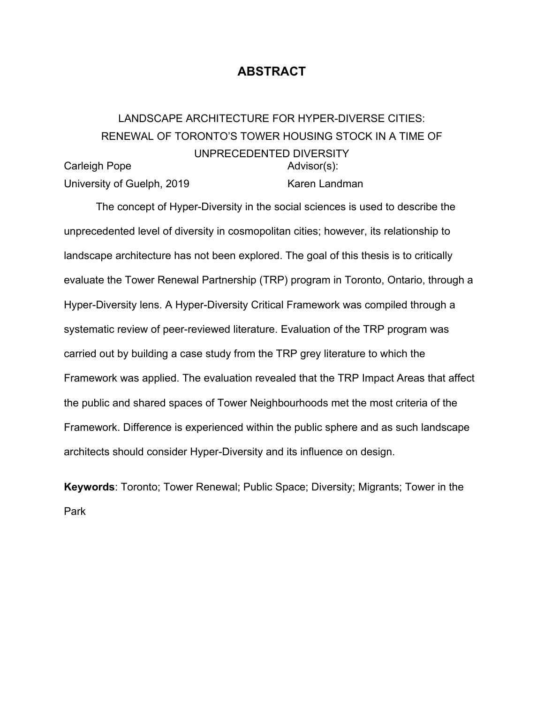## **ABSTRACT**

#### <span id="page-1-0"></span>LANDSCAPE ARCHITECTURE FOR HYPER-DIVERSE CITIES: RENEWAL OF TORONTO'S TOWER HOUSING STOCK IN A TIME OF UNPRECEDENTED DIVERSITY Carleigh Pope University of Guelph, 2019 Advisor(s): Karen Landman

The concept of Hyper-Diversity in the social sciences is used to describe the unprecedented level of diversity in cosmopolitan cities; however, its relationship to landscape architecture has not been explored. The goal of this thesis is to critically evaluate the Tower Renewal Partnership (TRP) program in Toronto, Ontario, through a Hyper-Diversity lens. A Hyper-Diversity Critical Framework was compiled through a systematic review of peer-reviewed literature. Evaluation of the TRP program was carried out by building a case study from the TRP grey literature to which the Framework was applied. The evaluation revealed that the TRP Impact Areas that affect the public and shared spaces of Tower Neighbourhoods met the most criteria of the Framework. Difference is experienced within the public sphere and as such landscape architects should consider Hyper-Diversity and its influence on design.

**Keywords**: Toronto; Tower Renewal; Public Space; Diversity; Migrants; Tower in the Park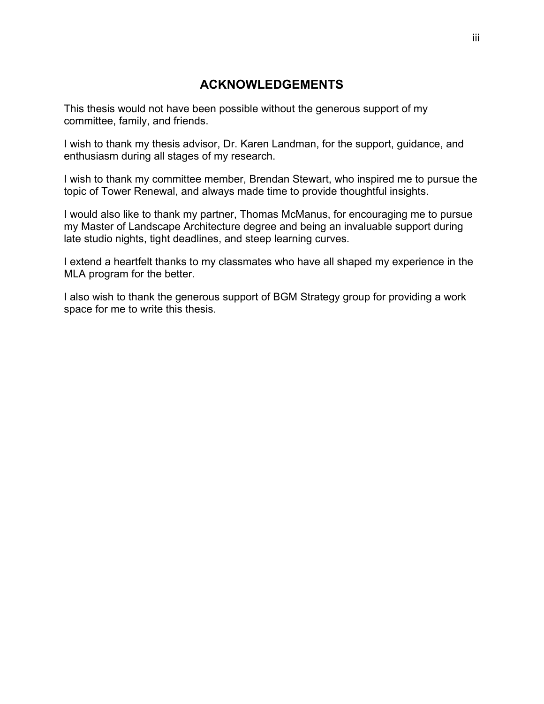## **ACKNOWLEDGEMENTS**

<span id="page-2-0"></span>This thesis would not have been possible without the generous support of my committee, family, and friends.

I wish to thank my thesis advisor, Dr. Karen Landman, for the support, guidance, and enthusiasm during all stages of my research.

I wish to thank my committee member, Brendan Stewart, who inspired me to pursue the topic of Tower Renewal, and always made time to provide thoughtful insights.

I would also like to thank my partner, Thomas McManus, for encouraging me to pursue my Master of Landscape Architecture degree and being an invaluable support during late studio nights, tight deadlines, and steep learning curves.

I extend a heartfelt thanks to my classmates who have all shaped my experience in the MLA program for the better.

I also wish to thank the generous support of BGM Strategy group for providing a work space for me to write this thesis.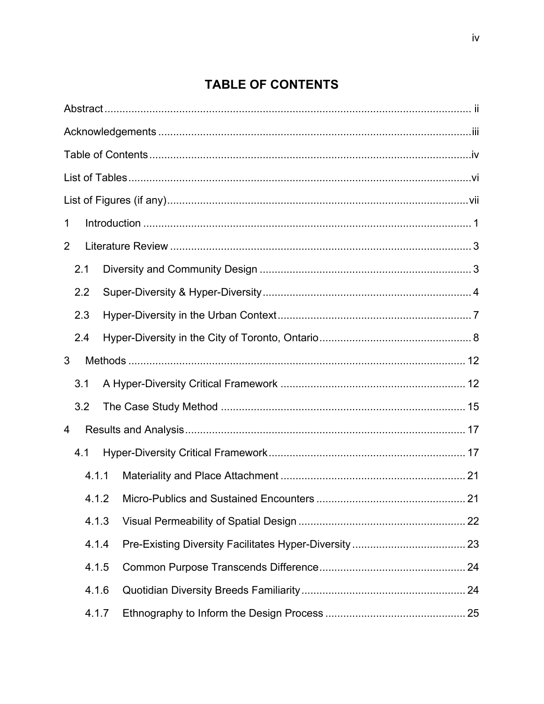# **TABLE OF CONTENTS**

<span id="page-3-0"></span>

| 1 |       |     |                                        |    |
|---|-------|-----|----------------------------------------|----|
| 2 |       |     |                                        |    |
|   | 2.1   |     |                                        |    |
|   | 2.2   |     |                                        |    |
|   | 2.3   |     |                                        |    |
|   | 2.4   |     |                                        |    |
| 3 |       |     |                                        |    |
|   | 3.1   |     |                                        |    |
|   | 3.2   |     |                                        |    |
| 4 |       |     |                                        |    |
|   | 4.1   |     |                                        |    |
|   | 4.1.1 |     |                                        |    |
|   |       | 412 | Micro-Publics and Sustained Encounters | 21 |
|   | 4.1.3 |     |                                        |    |
|   | 4.1.4 |     |                                        |    |
|   | 4.1.5 |     |                                        |    |
|   | 4.1.6 |     |                                        |    |
|   | 4.1.7 |     |                                        |    |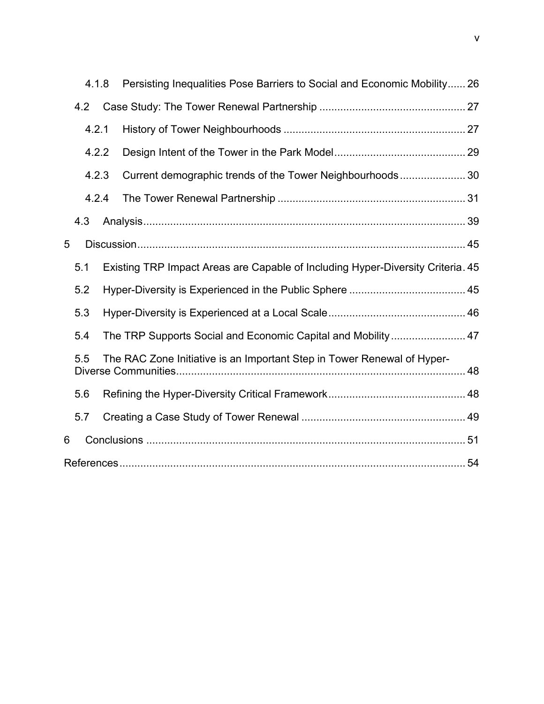|   | 4.1.8 | Persisting Inequalities Pose Barriers to Social and Economic Mobility 26        |  |
|---|-------|---------------------------------------------------------------------------------|--|
|   | 4.2   |                                                                                 |  |
|   | 4.2.1 |                                                                                 |  |
|   | 4.2.2 |                                                                                 |  |
|   | 4.2.3 | Current demographic trends of the Tower Neighbourhoods 30                       |  |
|   | 4.2.4 |                                                                                 |  |
|   | 4.3   |                                                                                 |  |
| 5 |       |                                                                                 |  |
|   | 5.1   | Existing TRP Impact Areas are Capable of Including Hyper-Diversity Criteria. 45 |  |
|   | 5.2   |                                                                                 |  |
|   | 5.3   |                                                                                 |  |
|   | 5.4   | The TRP Supports Social and Economic Capital and Mobility 47                    |  |
|   | 5.5   | The RAC Zone Initiative is an Important Step in Tower Renewal of Hyper-         |  |
|   | 5.6   |                                                                                 |  |
|   | 5.7   |                                                                                 |  |
| 6 |       |                                                                                 |  |
|   |       |                                                                                 |  |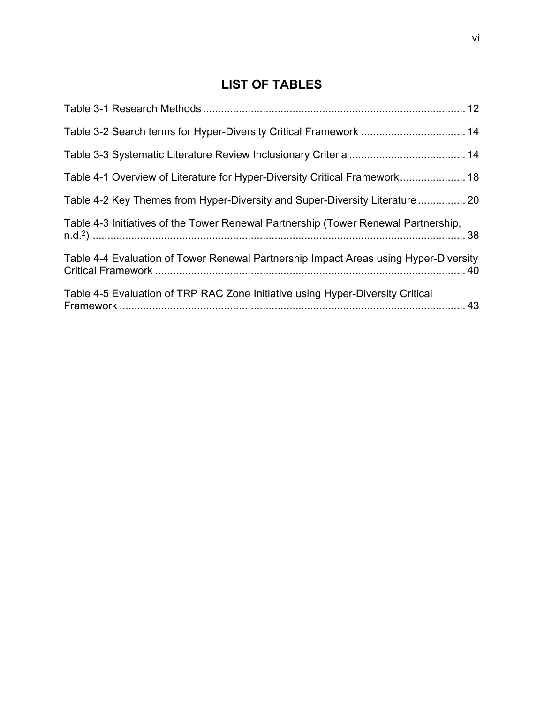# **LIST OF TABLES**

<span id="page-5-0"></span>

| Table 4-1 Overview of Literature for Hyper-Diversity Critical Framework 18           |  |
|--------------------------------------------------------------------------------------|--|
| Table 4-2 Key Themes from Hyper-Diversity and Super-Diversity Literature  20         |  |
| Table 4-3 Initiatives of the Tower Renewal Partnership (Tower Renewal Partnership,   |  |
| Table 4-4 Evaluation of Tower Renewal Partnership Impact Areas using Hyper-Diversity |  |
| Table 4-5 Evaluation of TRP RAC Zone Initiative using Hyper-Diversity Critical       |  |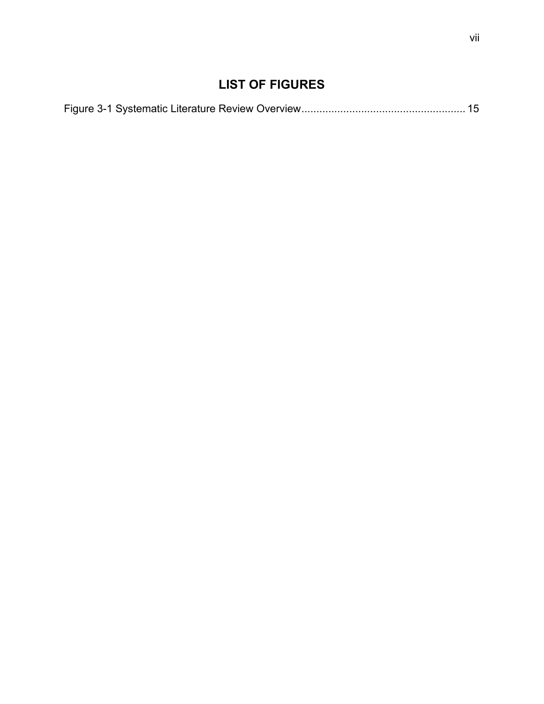# **LIST OF FIGURES**

<span id="page-6-0"></span>

|--|--|--|--|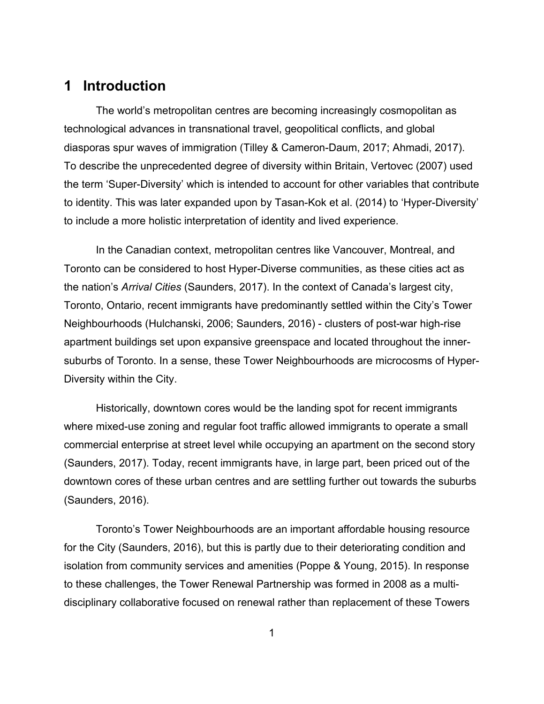# <span id="page-7-0"></span>**1 Introduction**

The world's metropolitan centres are becoming increasingly cosmopolitan as technological advances in transnational travel, geopolitical conflicts, and global diasporas spur waves of immigration (Tilley & Cameron-Daum, 2017; Ahmadi, 2017). To describe the unprecedented degree of diversity within Britain, Vertovec (2007) used the term 'Super-Diversity' which is intended to account for other variables that contribute to identity. This was later expanded upon by Tasan-Kok et al. (2014) to 'Hyper-Diversity' to include a more holistic interpretation of identity and lived experience.

In the Canadian context, metropolitan centres like Vancouver, Montreal, and Toronto can be considered to host Hyper-Diverse communities, as these cities act as the nation's *Arrival Cities* (Saunders, 2017). In the context of Canada's largest city, Toronto, Ontario, recent immigrants have predominantly settled within the City's Tower Neighbourhoods (Hulchanski, 2006; Saunders, 2016) - clusters of post-war high-rise apartment buildings set upon expansive greenspace and located throughout the innersuburbs of Toronto. In a sense, these Tower Neighbourhoods are microcosms of Hyper-Diversity within the City.

Historically, downtown cores would be the landing spot for recent immigrants where mixed-use zoning and regular foot traffic allowed immigrants to operate a small commercial enterprise at street level while occupying an apartment on the second story (Saunders, 2017). Today, recent immigrants have, in large part, been priced out of the downtown cores of these urban centres and are settling further out towards the suburbs (Saunders, 2016).

Toronto's Tower Neighbourhoods are an important affordable housing resource for the City (Saunders, 2016), but this is partly due to their deteriorating condition and isolation from community services and amenities (Poppe & Young, 2015). In response to these challenges, the Tower Renewal Partnership was formed in 2008 as a multidisciplinary collaborative focused on renewal rather than replacement of these Towers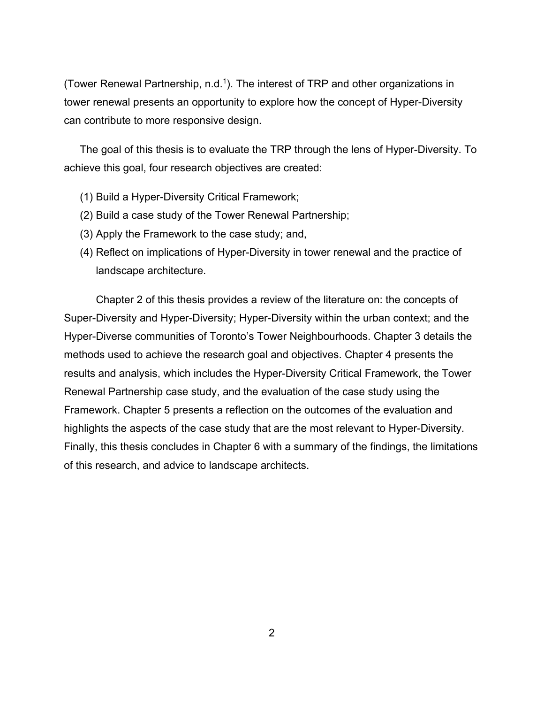(Tower Renewal Partnership, n.d.<sup>1</sup>). The interest of TRP and other organizations in tower renewal presents an opportunity to explore how the concept of Hyper-Diversity can contribute to more responsive design.

The goal of this thesis is to evaluate the TRP through the lens of Hyper-Diversity. To achieve this goal, four research objectives are created:

- (1) Build a Hyper-Diversity Critical Framework;
- (2) Build a case study of the Tower Renewal Partnership;
- (3) Apply the Framework to the case study; and,
- (4) Reflect on implications of Hyper-Diversity in tower renewal and the practice of landscape architecture.

Chapter 2 of this thesis provides a review of the literature on: the concepts of Super-Diversity and Hyper-Diversity; Hyper-Diversity within the urban context; and the Hyper-Diverse communities of Toronto's Tower Neighbourhoods. Chapter 3 details the methods used to achieve the research goal and objectives. Chapter 4 presents the results and analysis, which includes the Hyper-Diversity Critical Framework, the Tower Renewal Partnership case study, and the evaluation of the case study using the Framework. Chapter 5 presents a reflection on the outcomes of the evaluation and highlights the aspects of the case study that are the most relevant to Hyper-Diversity. Finally, this thesis concludes in Chapter 6 with a summary of the findings, the limitations of this research, and advice to landscape architects.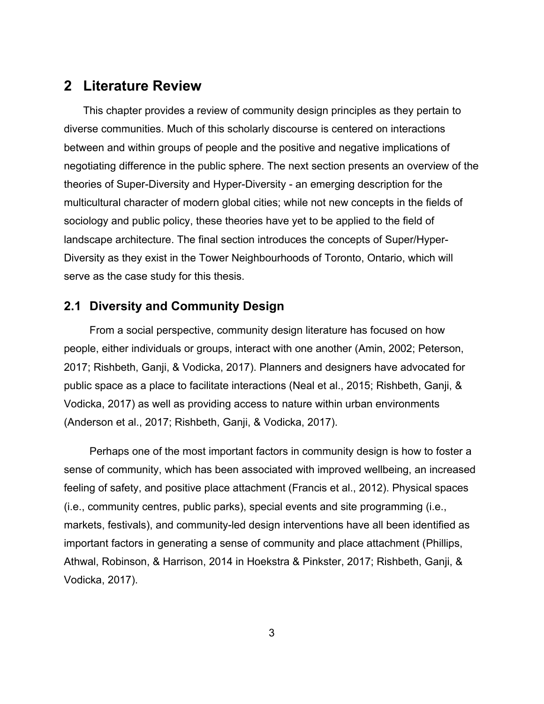## <span id="page-9-0"></span>**2 Literature Review**

This chapter provides a review of community design principles as they pertain to diverse communities. Much of this scholarly discourse is centered on interactions between and within groups of people and the positive and negative implications of negotiating difference in the public sphere. The next section presents an overview of the theories of Super-Diversity and Hyper-Diversity - an emerging description for the multicultural character of modern global cities; while not new concepts in the fields of sociology and public policy, these theories have yet to be applied to the field of landscape architecture. The final section introduces the concepts of Super/Hyper-Diversity as they exist in the Tower Neighbourhoods of Toronto, Ontario, which will serve as the case study for this thesis.

## <span id="page-9-1"></span>**2.1 Diversity and Community Design**

From a social perspective, community design literature has focused on how people, either individuals or groups, interact with one another (Amin, 2002; Peterson, 2017; Rishbeth, Ganji, & Vodicka, 2017). Planners and designers have advocated for public space as a place to facilitate interactions (Neal et al., 2015; Rishbeth, Ganji, & Vodicka, 2017) as well as providing access to nature within urban environments (Anderson et al., 2017; Rishbeth, Ganji, & Vodicka, 2017).

Perhaps one of the most important factors in community design is how to foster a sense of community, which has been associated with improved wellbeing, an increased feeling of safety, and positive place attachment (Francis et al., 2012). Physical spaces (i.e., community centres, public parks), special events and site programming (i.e., markets, festivals), and community-led design interventions have all been identified as important factors in generating a sense of community and place attachment (Phillips, Athwal, Robinson, & Harrison, 2014 in Hoekstra & Pinkster, 2017; Rishbeth, Ganji, & Vodicka, 2017).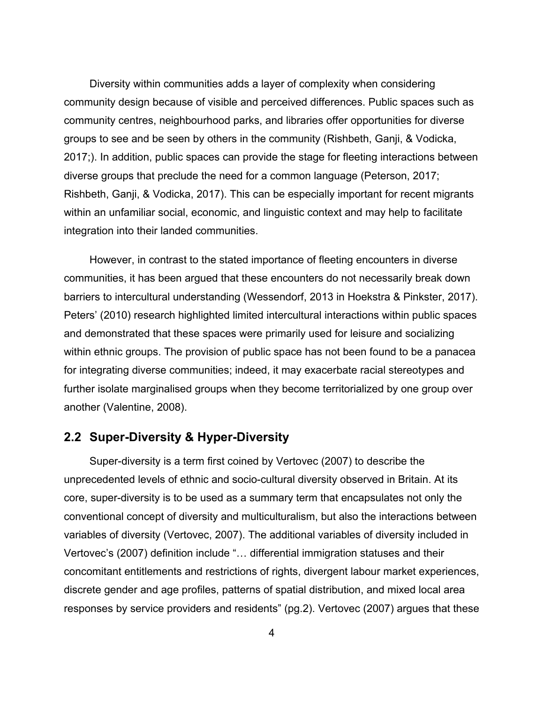Diversity within communities adds a layer of complexity when considering community design because of visible and perceived differences. Public spaces such as community centres, neighbourhood parks, and libraries offer opportunities for diverse groups to see and be seen by others in the community (Rishbeth, Ganji, & Vodicka, 2017;). In addition, public spaces can provide the stage for fleeting interactions between diverse groups that preclude the need for a common language (Peterson, 2017; Rishbeth, Ganji, & Vodicka, 2017). This can be especially important for recent migrants within an unfamiliar social, economic, and linguistic context and may help to facilitate integration into their landed communities.

However, in contrast to the stated importance of fleeting encounters in diverse communities, it has been argued that these encounters do not necessarily break down barriers to intercultural understanding (Wessendorf, 2013 in Hoekstra & Pinkster, 2017). Peters' (2010) research highlighted limited intercultural interactions within public spaces and demonstrated that these spaces were primarily used for leisure and socializing within ethnic groups. The provision of public space has not been found to be a panacea for integrating diverse communities; indeed, it may exacerbate racial stereotypes and further isolate marginalised groups when they become territorialized by one group over another (Valentine, 2008).

## <span id="page-10-0"></span>**2.2 Super-Diversity & Hyper-Diversity**

Super-diversity is a term first coined by Vertovec (2007) to describe the unprecedented levels of ethnic and socio-cultural diversity observed in Britain. At its core, super-diversity is to be used as a summary term that encapsulates not only the conventional concept of diversity and multiculturalism, but also the interactions between variables of diversity (Vertovec, 2007). The additional variables of diversity included in Vertovec's (2007) definition include "… differential immigration statuses and their concomitant entitlements and restrictions of rights, divergent labour market experiences, discrete gender and age profiles, patterns of spatial distribution, and mixed local area responses by service providers and residents" (pg.2). Vertovec (2007) argues that these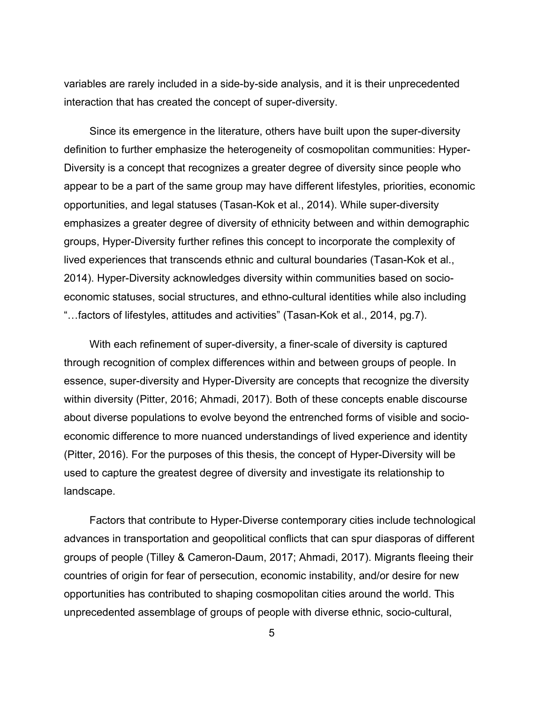variables are rarely included in a side-by-side analysis, and it is their unprecedented interaction that has created the concept of super-diversity.

Since its emergence in the literature, others have built upon the super-diversity definition to further emphasize the heterogeneity of cosmopolitan communities: Hyper-Diversity is a concept that recognizes a greater degree of diversity since people who appear to be a part of the same group may have different lifestyles, priorities, economic opportunities, and legal statuses (Tasan-Kok et al., 2014). While super-diversity emphasizes a greater degree of diversity of ethnicity between and within demographic groups, Hyper-Diversity further refines this concept to incorporate the complexity of lived experiences that transcends ethnic and cultural boundaries (Tasan-Kok et al., 2014). Hyper-Diversity acknowledges diversity within communities based on socioeconomic statuses, social structures, and ethno-cultural identities while also including "…factors of lifestyles, attitudes and activities" (Tasan-Kok et al., 2014, pg.7).

With each refinement of super-diversity, a finer-scale of diversity is captured through recognition of complex differences within and between groups of people. In essence, super-diversity and Hyper-Diversity are concepts that recognize the diversity within diversity (Pitter, 2016; Ahmadi, 2017). Both of these concepts enable discourse about diverse populations to evolve beyond the entrenched forms of visible and socioeconomic difference to more nuanced understandings of lived experience and identity (Pitter, 2016). For the purposes of this thesis, the concept of Hyper-Diversity will be used to capture the greatest degree of diversity and investigate its relationship to landscape.

Factors that contribute to Hyper-Diverse contemporary cities include technological advances in transportation and geopolitical conflicts that can spur diasporas of different groups of people (Tilley & Cameron-Daum, 2017; Ahmadi, 2017). Migrants fleeing their countries of origin for fear of persecution, economic instability, and/or desire for new opportunities has contributed to shaping cosmopolitan cities around the world. This unprecedented assemblage of groups of people with diverse ethnic, socio-cultural,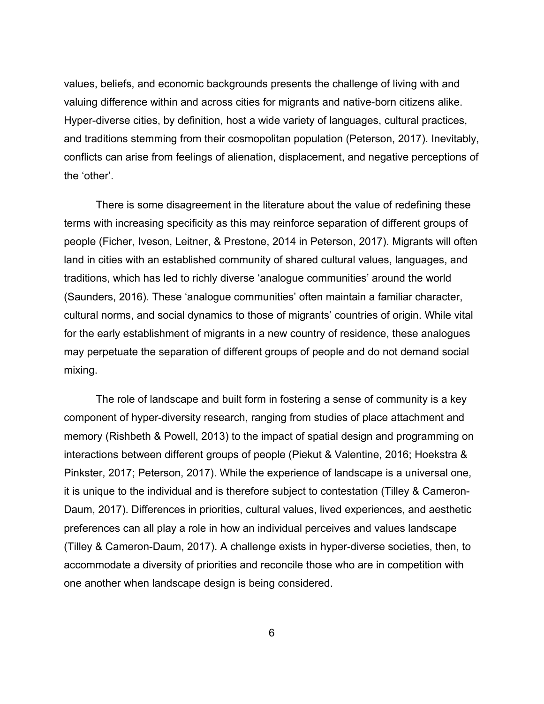values, beliefs, and economic backgrounds presents the challenge of living with and valuing difference within and across cities for migrants and native-born citizens alike. Hyper-diverse cities, by definition, host a wide variety of languages, cultural practices, and traditions stemming from their cosmopolitan population (Peterson, 2017). Inevitably, conflicts can arise from feelings of alienation, displacement, and negative perceptions of the 'other'.

There is some disagreement in the literature about the value of redefining these terms with increasing specificity as this may reinforce separation of different groups of people (Ficher, Iveson, Leitner, & Prestone, 2014 in Peterson, 2017). Migrants will often land in cities with an established community of shared cultural values, languages, and traditions, which has led to richly diverse 'analogue communities' around the world (Saunders, 2016). These 'analogue communities' often maintain a familiar character, cultural norms, and social dynamics to those of migrants' countries of origin. While vital for the early establishment of migrants in a new country of residence, these analogues may perpetuate the separation of different groups of people and do not demand social mixing.

The role of landscape and built form in fostering a sense of community is a key component of hyper-diversity research, ranging from studies of place attachment and memory (Rishbeth & Powell, 2013) to the impact of spatial design and programming on interactions between different groups of people (Piekut & Valentine, 2016; Hoekstra & Pinkster, 2017; Peterson, 2017). While the experience of landscape is a universal one, it is unique to the individual and is therefore subject to contestation (Tilley & Cameron-Daum, 2017). Differences in priorities, cultural values, lived experiences, and aesthetic preferences can all play a role in how an individual perceives and values landscape (Tilley & Cameron-Daum, 2017). A challenge exists in hyper-diverse societies, then, to accommodate a diversity of priorities and reconcile those who are in competition with one another when landscape design is being considered.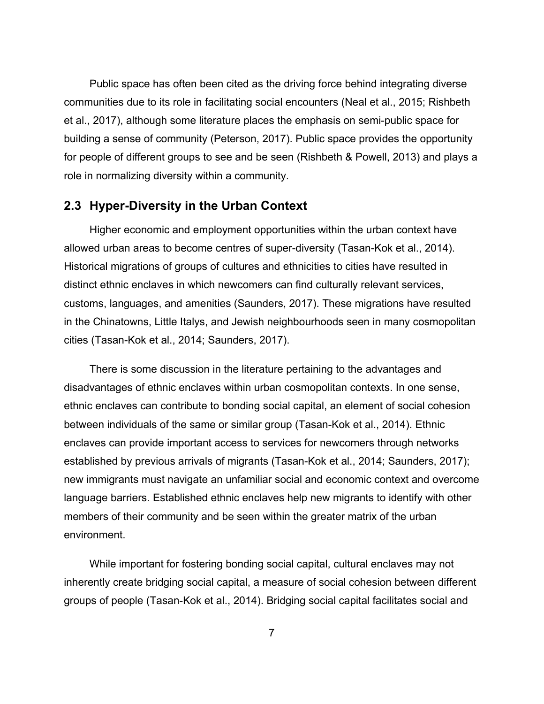Public space has often been cited as the driving force behind integrating diverse communities due to its role in facilitating social encounters (Neal et al., 2015; Rishbeth et al., 2017), although some literature places the emphasis on semi-public space for building a sense of community (Peterson, 2017). Public space provides the opportunity for people of different groups to see and be seen (Rishbeth & Powell, 2013) and plays a role in normalizing diversity within a community.

## <span id="page-13-0"></span>**2.3 Hyper-Diversity in the Urban Context**

Higher economic and employment opportunities within the urban context have allowed urban areas to become centres of super-diversity (Tasan-Kok et al., 2014). Historical migrations of groups of cultures and ethnicities to cities have resulted in distinct ethnic enclaves in which newcomers can find culturally relevant services, customs, languages, and amenities (Saunders, 2017). These migrations have resulted in the Chinatowns, Little Italys, and Jewish neighbourhoods seen in many cosmopolitan cities (Tasan-Kok et al., 2014; Saunders, 2017).

There is some discussion in the literature pertaining to the advantages and disadvantages of ethnic enclaves within urban cosmopolitan contexts. In one sense, ethnic enclaves can contribute to bonding social capital, an element of social cohesion between individuals of the same or similar group (Tasan-Kok et al., 2014). Ethnic enclaves can provide important access to services for newcomers through networks established by previous arrivals of migrants (Tasan-Kok et al., 2014; Saunders, 2017); new immigrants must navigate an unfamiliar social and economic context and overcome language barriers. Established ethnic enclaves help new migrants to identify with other members of their community and be seen within the greater matrix of the urban environment.

While important for fostering bonding social capital, cultural enclaves may not inherently create bridging social capital, a measure of social cohesion between different groups of people (Tasan-Kok et al., 2014). Bridging social capital facilitates social and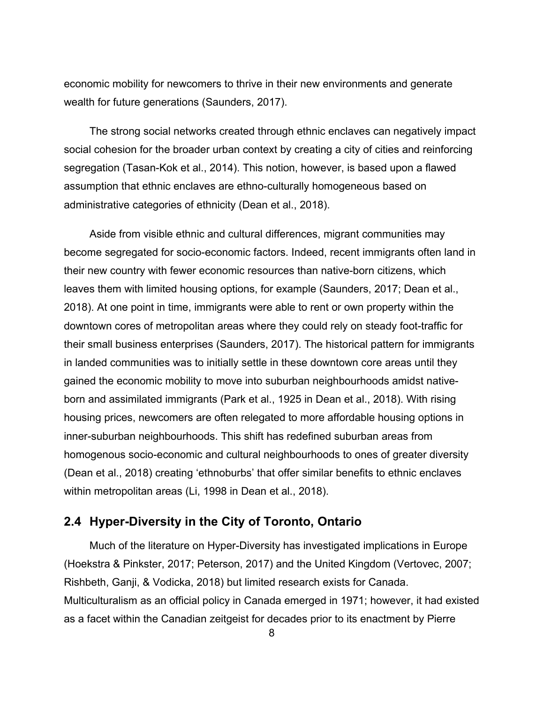economic mobility for newcomers to thrive in their new environments and generate wealth for future generations (Saunders, 2017).

The strong social networks created through ethnic enclaves can negatively impact social cohesion for the broader urban context by creating a city of cities and reinforcing segregation (Tasan-Kok et al., 2014). This notion, however, is based upon a flawed assumption that ethnic enclaves are ethno-culturally homogeneous based on administrative categories of ethnicity (Dean et al., 2018).

Aside from visible ethnic and cultural differences, migrant communities may become segregated for socio-economic factors. Indeed, recent immigrants often land in their new country with fewer economic resources than native-born citizens, which leaves them with limited housing options, for example (Saunders, 2017; Dean et al., 2018). At one point in time, immigrants were able to rent or own property within the downtown cores of metropolitan areas where they could rely on steady foot-traffic for their small business enterprises (Saunders, 2017). The historical pattern for immigrants in landed communities was to initially settle in these downtown core areas until they gained the economic mobility to move into suburban neighbourhoods amidst nativeborn and assimilated immigrants (Park et al., 1925 in Dean et al., 2018). With rising housing prices, newcomers are often relegated to more affordable housing options in inner-suburban neighbourhoods. This shift has redefined suburban areas from homogenous socio-economic and cultural neighbourhoods to ones of greater diversity (Dean et al., 2018) creating 'ethnoburbs' that offer similar benefits to ethnic enclaves within metropolitan areas (Li, 1998 in Dean et al., 2018).

### <span id="page-14-0"></span>**2.4 Hyper-Diversity in the City of Toronto, Ontario**

Much of the literature on Hyper-Diversity has investigated implications in Europe (Hoekstra & Pinkster, 2017; Peterson, 2017) and the United Kingdom (Vertovec, 2007; Rishbeth, Ganji, & Vodicka, 2018) but limited research exists for Canada. Multiculturalism as an official policy in Canada emerged in 1971; however, it had existed as a facet within the Canadian zeitgeist for decades prior to its enactment by Pierre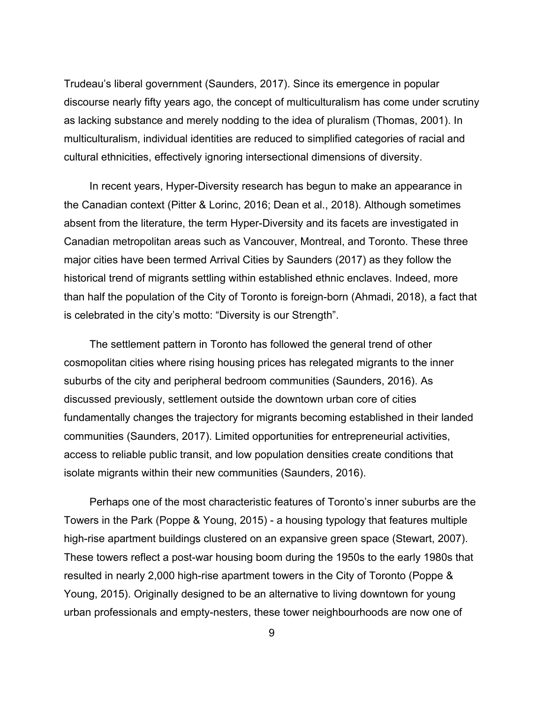Trudeau's liberal government (Saunders, 2017). Since its emergence in popular discourse nearly fifty years ago, the concept of multiculturalism has come under scrutiny as lacking substance and merely nodding to the idea of pluralism (Thomas, 2001). In multiculturalism, individual identities are reduced to simplified categories of racial and cultural ethnicities, effectively ignoring intersectional dimensions of diversity.

In recent years, Hyper-Diversity research has begun to make an appearance in the Canadian context (Pitter & Lorinc, 2016; Dean et al., 2018). Although sometimes absent from the literature, the term Hyper-Diversity and its facets are investigated in Canadian metropolitan areas such as Vancouver, Montreal, and Toronto. These three major cities have been termed Arrival Cities by Saunders (2017) as they follow the historical trend of migrants settling within established ethnic enclaves. Indeed, more than half the population of the City of Toronto is foreign-born (Ahmadi, 2018), a fact that is celebrated in the city's motto: "Diversity is our Strength".

The settlement pattern in Toronto has followed the general trend of other cosmopolitan cities where rising housing prices has relegated migrants to the inner suburbs of the city and peripheral bedroom communities (Saunders, 2016). As discussed previously, settlement outside the downtown urban core of cities fundamentally changes the trajectory for migrants becoming established in their landed communities (Saunders, 2017). Limited opportunities for entrepreneurial activities, access to reliable public transit, and low population densities create conditions that isolate migrants within their new communities (Saunders, 2016).

Perhaps one of the most characteristic features of Toronto's inner suburbs are the Towers in the Park (Poppe & Young, 2015) - a housing typology that features multiple high-rise apartment buildings clustered on an expansive green space (Stewart, 2007). These towers reflect a post-war housing boom during the 1950s to the early 1980s that resulted in nearly 2,000 high-rise apartment towers in the City of Toronto (Poppe & Young, 2015). Originally designed to be an alternative to living downtown for young urban professionals and empty-nesters, these tower neighbourhoods are now one of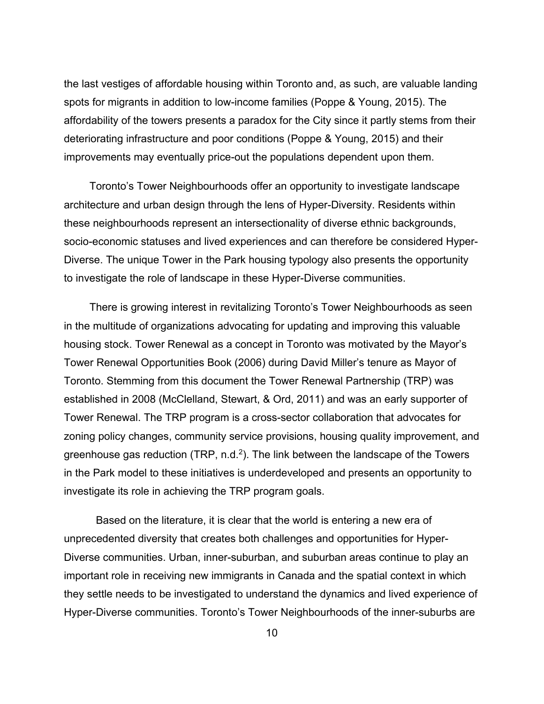the last vestiges of affordable housing within Toronto and, as such, are valuable landing spots for migrants in addition to low-income families (Poppe & Young, 2015). The affordability of the towers presents a paradox for the City since it partly stems from their deteriorating infrastructure and poor conditions (Poppe & Young, 2015) and their improvements may eventually price-out the populations dependent upon them.

Toronto's Tower Neighbourhoods offer an opportunity to investigate landscape architecture and urban design through the lens of Hyper-Diversity. Residents within these neighbourhoods represent an intersectionality of diverse ethnic backgrounds, socio-economic statuses and lived experiences and can therefore be considered Hyper-Diverse. The unique Tower in the Park housing typology also presents the opportunity to investigate the role of landscape in these Hyper-Diverse communities.

There is growing interest in revitalizing Toronto's Tower Neighbourhoods as seen in the multitude of organizations advocating for updating and improving this valuable housing stock. Tower Renewal as a concept in Toronto was motivated by the Mayor's Tower Renewal Opportunities Book (2006) during David Miller's tenure as Mayor of Toronto. Stemming from this document the Tower Renewal Partnership (TRP) was established in 2008 (McClelland, Stewart, & Ord, 2011) and was an early supporter of Tower Renewal. The TRP program is a cross-sector collaboration that advocates for zoning policy changes, community service provisions, housing quality improvement, and greenhouse gas reduction (TRP, n.d. 2). The link between the landscape of the Towers in the Park model to these initiatives is underdeveloped and presents an opportunity to investigate its role in achieving the TRP program goals.

Based on the literature, it is clear that the world is entering a new era of unprecedented diversity that creates both challenges and opportunities for Hyper-Diverse communities. Urban, inner-suburban, and suburban areas continue to play an important role in receiving new immigrants in Canada and the spatial context in which they settle needs to be investigated to understand the dynamics and lived experience of Hyper-Diverse communities. Toronto's Tower Neighbourhoods of the inner-suburbs are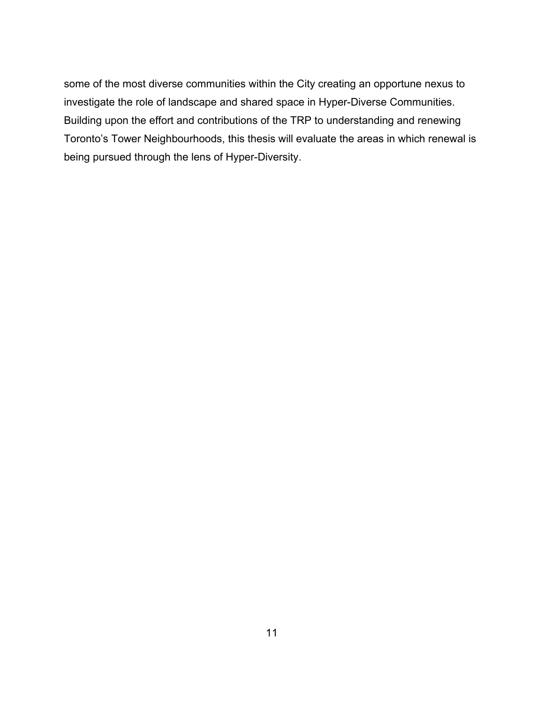some of the most diverse communities within the City creating an opportune nexus to investigate the role of landscape and shared space in Hyper-Diverse Communities. Building upon the effort and contributions of the TRP to understanding and renewing Toronto's Tower Neighbourhoods, this thesis will evaluate the areas in which renewal is being pursued through the lens of Hyper-Diversity.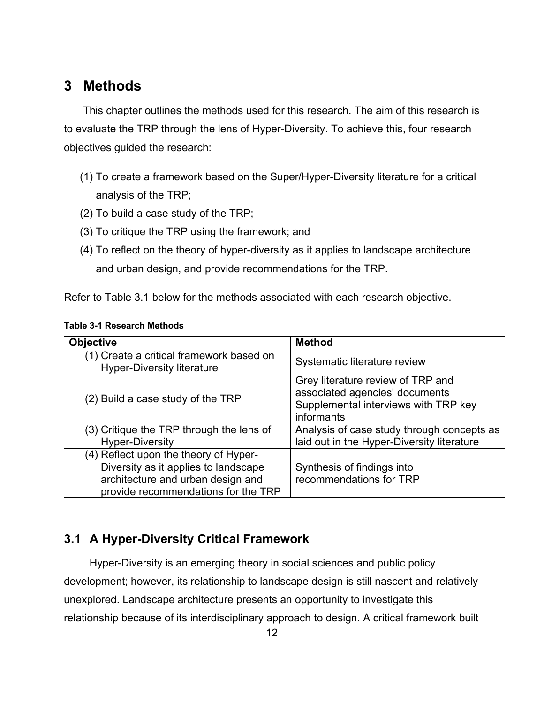# <span id="page-18-0"></span>**3 Methods**

This chapter outlines the methods used for this research. The aim of this research is to evaluate the TRP through the lens of Hyper-Diversity. To achieve this, four research objectives guided the research:

- (1) To create a framework based on the Super/Hyper-Diversity literature for a critical analysis of the TRP;
- (2) To build a case study of the TRP;
- (3) To critique the TRP using the framework; and
- (4) To reflect on the theory of hyper-diversity as it applies to landscape architecture and urban design, and provide recommendations for the TRP.

Refer to Table 3.1 below for the methods associated with each research objective.

| <b>Objective</b>                                                                                                                                          | <b>Method</b>                                                                                                             |
|-----------------------------------------------------------------------------------------------------------------------------------------------------------|---------------------------------------------------------------------------------------------------------------------------|
| (1) Create a critical framework based on<br><b>Hyper-Diversity literature</b>                                                                             | Systematic literature review                                                                                              |
| (2) Build a case study of the TRP                                                                                                                         | Grey literature review of TRP and<br>associated agencies' documents<br>Supplemental interviews with TRP key<br>informants |
| (3) Critique the TRP through the lens of<br><b>Hyper-Diversity</b>                                                                                        | Analysis of case study through concepts as<br>laid out in the Hyper-Diversity literature                                  |
| (4) Reflect upon the theory of Hyper-<br>Diversity as it applies to landscape<br>architecture and urban design and<br>provide recommendations for the TRP | Synthesis of findings into<br>recommendations for TRP                                                                     |

#### <span id="page-18-2"></span>**Table 3-1 Research Methods**

# <span id="page-18-1"></span>**3.1 A Hyper-Diversity Critical Framework**

Hyper-Diversity is an emerging theory in social sciences and public policy development; however, its relationship to landscape design is still nascent and relatively unexplored. Landscape architecture presents an opportunity to investigate this relationship because of its interdisciplinary approach to design. A critical framework built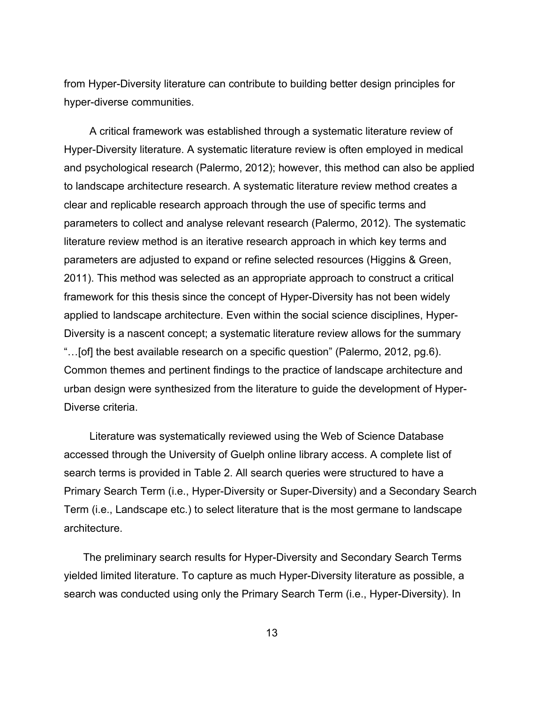from Hyper-Diversity literature can contribute to building better design principles for hyper-diverse communities.

A critical framework was established through a systematic literature review of Hyper-Diversity literature. A systematic literature review is often employed in medical and psychological research (Palermo, 2012); however, this method can also be applied to landscape architecture research. A systematic literature review method creates a clear and replicable research approach through the use of specific terms and parameters to collect and analyse relevant research (Palermo, 2012). The systematic literature review method is an iterative research approach in which key terms and parameters are adjusted to expand or refine selected resources (Higgins & Green, 2011). This method was selected as an appropriate approach to construct a critical framework for this thesis since the concept of Hyper-Diversity has not been widely applied to landscape architecture. Even within the social science disciplines, Hyper-Diversity is a nascent concept; a systematic literature review allows for the summary "…[of] the best available research on a specific question" (Palermo, 2012, pg.6). Common themes and pertinent findings to the practice of landscape architecture and urban design were synthesized from the literature to guide the development of Hyper-Diverse criteria.

Literature was systematically reviewed using the Web of Science Database accessed through the University of Guelph online library access. A complete list of search terms is provided in Table 2. All search queries were structured to have a Primary Search Term (i.e., Hyper-Diversity or Super-Diversity) and a Secondary Search Term (i.e., Landscape etc.) to select literature that is the most germane to landscape architecture.

The preliminary search results for Hyper-Diversity and Secondary Search Terms yielded limited literature. To capture as much Hyper-Diversity literature as possible, a search was conducted using only the Primary Search Term (i.e., Hyper-Diversity). In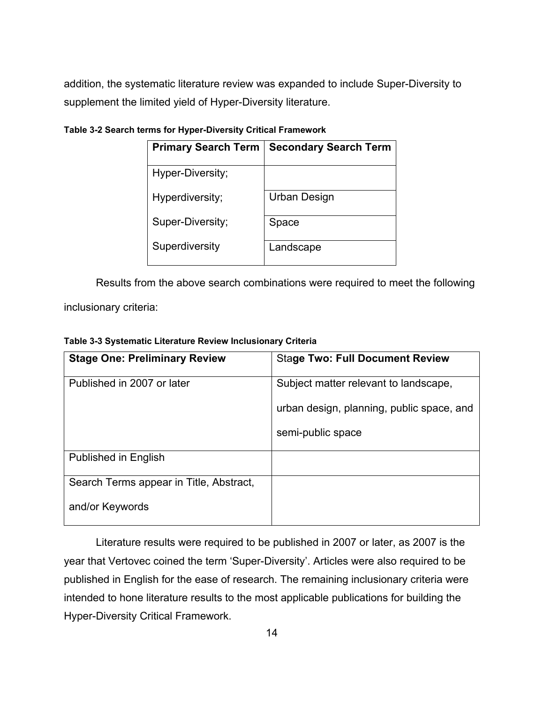addition, the systematic literature review was expanded to include Super-Diversity to supplement the limited yield of Hyper-Diversity literature.

| <b>Primary Search Term</b> | <b>Secondary Search Term</b> |
|----------------------------|------------------------------|
| Hyper-Diversity;           |                              |
| Hyperdiversity;            | Urban Design                 |
| Super-Diversity;           | Space                        |
| Superdiversity             | Landscape                    |

<span id="page-20-0"></span>**Table 3-2 Search terms for Hyper-Diversity Critical Framework**

Results from the above search combinations were required to meet the following

inclusionary criteria:

<span id="page-20-1"></span>**Table 3-3 Systematic Literature Review Inclusionary Criteria**

| <b>Stage One: Preliminary Review</b>    | <b>Stage Two: Full Document Review</b>    |
|-----------------------------------------|-------------------------------------------|
| Published in 2007 or later              | Subject matter relevant to landscape,     |
|                                         | urban design, planning, public space, and |
|                                         | semi-public space                         |
| <b>Published in English</b>             |                                           |
| Search Terms appear in Title, Abstract, |                                           |
| and/or Keywords                         |                                           |

Literature results were required to be published in 2007 or later, as 2007 is the year that Vertovec coined the term 'Super-Diversity'. Articles were also required to be published in English for the ease of research. The remaining inclusionary criteria were intended to hone literature results to the most applicable publications for building the Hyper-Diversity Critical Framework.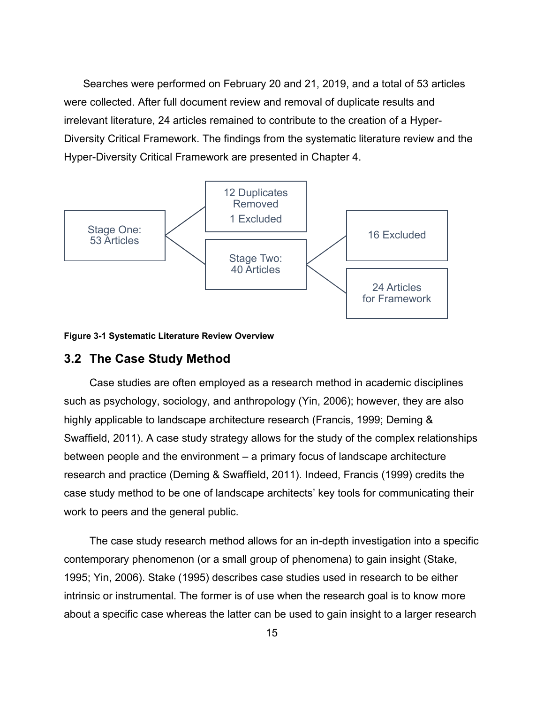Searches were performed on February 20 and 21, 2019, and a total of 53 articles were collected. After full document review and removal of duplicate results and irrelevant literature, 24 articles remained to contribute to the creation of a Hyper-Diversity Critical Framework. The findings from the systematic literature review and the Hyper-Diversity Critical Framework are presented in Chapter 4.



<span id="page-21-1"></span>

#### <span id="page-21-0"></span>**3.2 The Case Study Method**

Case studies are often employed as a research method in academic disciplines such as psychology, sociology, and anthropology (Yin, 2006); however, they are also highly applicable to landscape architecture research (Francis, 1999; Deming & Swaffield, 2011). A case study strategy allows for the study of the complex relationships between people and the environment – a primary focus of landscape architecture research and practice (Deming & Swaffield, 2011). Indeed, Francis (1999) credits the case study method to be one of landscape architects' key tools for communicating their work to peers and the general public.

The case study research method allows for an in-depth investigation into a specific contemporary phenomenon (or a small group of phenomena) to gain insight (Stake, 1995; Yin, 2006). Stake (1995) describes case studies used in research to be either intrinsic or instrumental. The former is of use when the research goal is to know more about a specific case whereas the latter can be used to gain insight to a larger research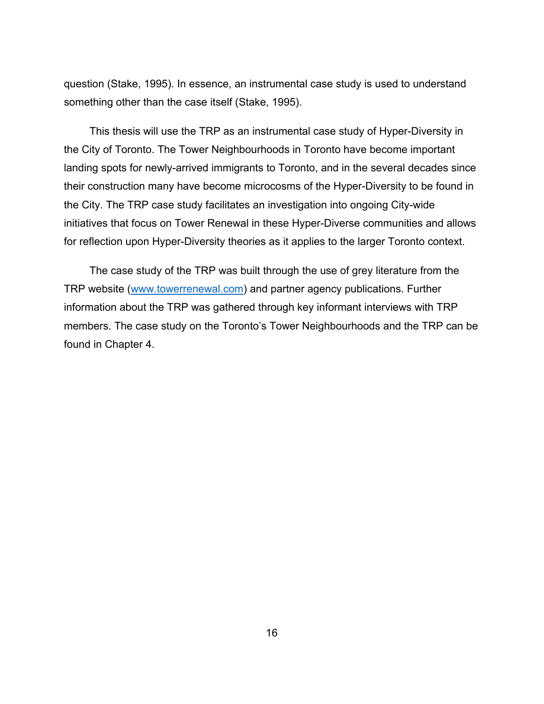question (Stake, 1995). In essence, an instrumental case study is used to understand something other than the case itself (Stake, 1995).

This thesis will use the TRP as an instrumental case study of Hyper-Diversity in the City of Toronto. The Tower Neighbourhoods in Toronto have become important landing spots for newly-arrived immigrants to Toronto, and in the several decades since their construction many have become microcosms of the Hyper-Diversity to be found in the City. The TRP case study facilitates an investigation into ongoing City-wide initiatives that focus on Tower Renewal in these Hyper-Diverse communities and allows for reflection upon Hyper-Diversity theories as it applies to the larger Toronto context.

The case study of the TRP was built through the use of grey literature from the TRP website [\(www.towerrenewal.com\)](http://www.towerrenewal.com/) and partner agency publications. Further information about the TRP was gathered through key informant interviews with TRP members. The case study on the Toronto's Tower Neighbourhoods and the TRP can be found in Chapter 4.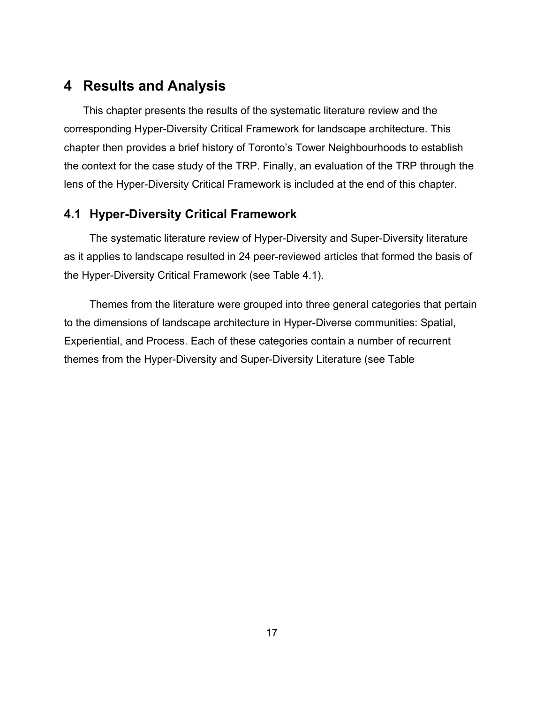# <span id="page-23-0"></span>**4 Results and Analysis**

This chapter presents the results of the systematic literature review and the corresponding Hyper-Diversity Critical Framework for landscape architecture. This chapter then provides a brief history of Toronto's Tower Neighbourhoods to establish the context for the case study of the TRP. Finally, an evaluation of the TRP through the lens of the Hyper-Diversity Critical Framework is included at the end of this chapter.

## <span id="page-23-1"></span>**4.1 Hyper-Diversity Critical Framework**

The systematic literature review of Hyper-Diversity and Super-Diversity literature as it applies to landscape resulted in 24 peer-reviewed articles that formed the basis of the Hyper-Diversity Critical Framework (see Table 4.1).

Themes from the literature were grouped into three general categories that pertain to the dimensions of landscape architecture in Hyper-Diverse communities: Spatial, Experiential, and Process. Each of these categories contain a number of recurrent themes from the Hyper-Diversity and Super-Diversity Literature (see Table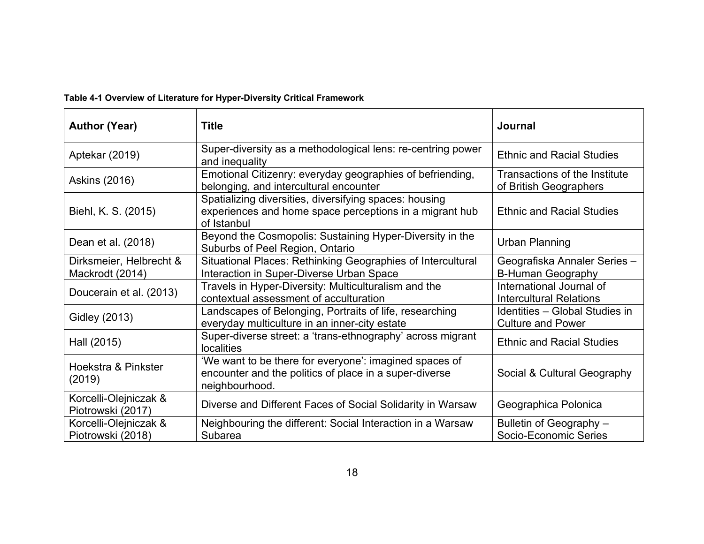## **Table 4-1 Overview of Literature for Hyper-Diversity Critical Framework**

<span id="page-24-0"></span>

| <b>Author (Year)</b>                       | <b>Title</b>                                                                                                                       | <b>Journal</b>                                             |  |
|--------------------------------------------|------------------------------------------------------------------------------------------------------------------------------------|------------------------------------------------------------|--|
| Aptekar (2019)                             | Super-diversity as a methodological lens: re-centring power<br>and inequality                                                      | <b>Ethnic and Racial Studies</b>                           |  |
| <b>Askins (2016)</b>                       | Emotional Citizenry: everyday geographies of befriending,<br>belonging, and intercultural encounter                                | Transactions of the Institute<br>of British Geographers    |  |
| Biehl, K. S. (2015)                        | Spatializing diversities, diversifying spaces: housing<br>experiences and home space perceptions in a migrant hub<br>of Istanbul   | <b>Ethnic and Racial Studies</b>                           |  |
| Dean et al. (2018)                         | Beyond the Cosmopolis: Sustaining Hyper-Diversity in the<br>Suburbs of Peel Region, Ontario                                        | <b>Urban Planning</b>                                      |  |
| Dirksmeier, Helbrecht &<br>Mackrodt (2014) | Situational Places: Rethinking Geographies of Intercultural<br>Interaction in Super-Diverse Urban Space                            | Geografiska Annaler Series -<br><b>B-Human Geography</b>   |  |
| Doucerain et al. (2013)                    | Travels in Hyper-Diversity: Multiculturalism and the<br>contextual assessment of acculturation                                     | International Journal of<br><b>Intercultural Relations</b> |  |
| <b>Gidley (2013)</b>                       | Landscapes of Belonging, Portraits of life, researching<br>everyday multiculture in an inner-city estate                           | Identities - Global Studies in<br><b>Culture and Power</b> |  |
| Hall (2015)                                | Super-diverse street: a 'trans-ethnography' across migrant<br><b>localities</b>                                                    | <b>Ethnic and Racial Studies</b>                           |  |
| Hoekstra & Pinkster<br>(2019)              | 'We want to be there for everyone': imagined spaces of<br>encounter and the politics of place in a super-diverse<br>neighbourhood. | Social & Cultural Geography                                |  |
| Korcelli-Olejniczak &<br>Piotrowski (2017) | Diverse and Different Faces of Social Solidarity in Warsaw                                                                         | Geographica Polonica                                       |  |
| Korcelli-Olejniczak &<br>Piotrowski (2018) | Neighbouring the different: Social Interaction in a Warsaw<br>Subarea                                                              | Bulletin of Geography -<br>Socio-Economic Series           |  |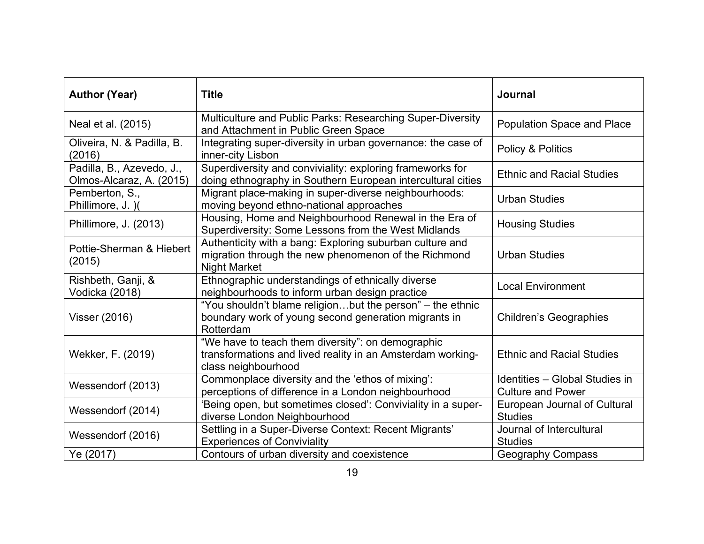| <b>Author (Year)</b>                                  | <b>Title</b>                                                                                                                            | <b>Journal</b>                                             |
|-------------------------------------------------------|-----------------------------------------------------------------------------------------------------------------------------------------|------------------------------------------------------------|
| Neal et al. (2015)                                    | Multiculture and Public Parks: Researching Super-Diversity<br>and Attachment in Public Green Space                                      | <b>Population Space and Place</b>                          |
| Oliveira, N. & Padilla, B.<br>(2016)                  | Integrating super-diversity in urban governance: the case of<br>inner-city Lisbon                                                       | Policy & Politics                                          |
| Padilla, B., Azevedo, J.,<br>Olmos-Alcaraz, A. (2015) | Superdiversity and conviviality: exploring frameworks for<br>doing ethnography in Southern European intercultural cities                | <b>Ethnic and Racial Studies</b>                           |
| Pemberton, S.,<br>Phillimore, J. )(                   | Migrant place-making in super-diverse neighbourhoods:<br>moving beyond ethno-national approaches                                        | <b>Urban Studies</b>                                       |
| Phillimore, J. (2013)                                 | Housing, Home and Neighbourhood Renewal in the Era of<br>Superdiversity: Some Lessons from the West Midlands                            | <b>Housing Studies</b>                                     |
| Pottie-Sherman & Hiebert<br>(2015)                    | Authenticity with a bang: Exploring suburban culture and<br>migration through the new phenomenon of the Richmond<br><b>Night Market</b> | <b>Urban Studies</b>                                       |
| Rishbeth, Ganji, &<br>Vodicka (2018)                  | Ethnographic understandings of ethnically diverse<br>neighbourhoods to inform urban design practice                                     | <b>Local Environment</b>                                   |
| Visser (2016)                                         | "You shouldn't blame religionbut the person" - the ethnic<br>boundary work of young second generation migrants in<br>Rotterdam          | <b>Children's Geographies</b>                              |
| Wekker, F. (2019)                                     | "We have to teach them diversity": on demographic<br>transformations and lived reality in an Amsterdam working-<br>class neighbourhood  | <b>Ethnic and Racial Studies</b>                           |
| Wessendorf (2013)                                     | Commonplace diversity and the 'ethos of mixing':<br>perceptions of difference in a London neighbourhood                                 | Identities - Global Studies in<br><b>Culture and Power</b> |
| Wessendorf (2014)                                     | 'Being open, but sometimes closed': Conviviality in a super-<br>diverse London Neighbourhood                                            | European Journal of Cultural<br><b>Studies</b>             |
| Wessendorf (2016)                                     | Settling in a Super-Diverse Context: Recent Migrants'<br><b>Experiences of Conviviality</b>                                             | Journal of Intercultural<br><b>Studies</b>                 |
| Ye (2017)                                             | Contours of urban diversity and coexistence                                                                                             | <b>Geography Compass</b>                                   |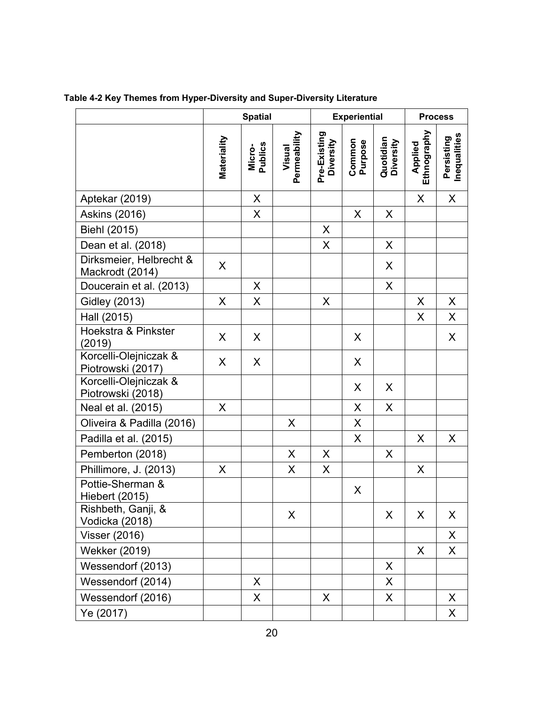|                                            |             | <b>Spatial</b>    |                        |                           | <b>Experiential</b> |                        | <b>Process</b>         |                            |  |
|--------------------------------------------|-------------|-------------------|------------------------|---------------------------|---------------------|------------------------|------------------------|----------------------------|--|
|                                            | Materiality | Micro-<br>Publics | Permeability<br>Visual | Pre-Existing<br>Diversity | Common<br>Purpose   | Quotidian<br>Diversity | Ethnography<br>Applied | Inequalities<br>Persisting |  |
| Aptekar (2019)                             |             | X                 |                        |                           |                     |                        | X                      | X                          |  |
| <b>Askins (2016)</b>                       |             | X                 |                        |                           | X                   | X                      |                        |                            |  |
| Biehl (2015)                               |             |                   |                        | X                         |                     |                        |                        |                            |  |
| Dean et al. (2018)                         |             |                   |                        | X                         |                     | X                      |                        |                            |  |
| Dirksmeier, Helbrecht &<br>Mackrodt (2014) | X           |                   |                        |                           |                     | X                      |                        |                            |  |
| Doucerain et al. (2013)                    |             | X                 |                        |                           |                     | $\pmb{\times}$         |                        |                            |  |
| <b>Gidley (2013)</b>                       | X           | X                 |                        | X                         |                     |                        | X                      | X                          |  |
| Hall (2015)                                |             |                   |                        |                           |                     |                        | X                      | X                          |  |
| <b>Hoekstra &amp; Pinkster</b><br>(2019)   | X           | X                 |                        |                           | X                   |                        |                        | X                          |  |
| Korcelli-Olejniczak &<br>Piotrowski (2017) | X           | X                 |                        |                           | X                   |                        |                        |                            |  |
| Korcelli-Olejniczak &<br>Piotrowski (2018) |             |                   |                        |                           | X                   | X                      |                        |                            |  |
| Neal et al. (2015)                         | X           |                   |                        |                           | X                   | X                      |                        |                            |  |
| Oliveira & Padilla (2016)                  |             |                   | X                      |                           | X                   |                        |                        |                            |  |
| Padilla et al. (2015)                      |             |                   |                        |                           | X                   |                        | X                      | X                          |  |
| Pemberton (2018)                           |             |                   | X                      | X                         |                     | X                      |                        |                            |  |
| Phillimore, J. (2013)                      | X           |                   | X                      | X                         |                     |                        | X                      |                            |  |
| Pottie-Sherman &<br><b>Hiebert (2015)</b>  |             |                   |                        |                           | X                   |                        |                        |                            |  |
| Rishbeth, Ganji, &<br>Vodicka (2018)       |             |                   | X                      |                           |                     | X                      | X                      | X                          |  |
| <b>Visser (2016)</b>                       |             |                   |                        |                           |                     |                        |                        | X                          |  |
| <b>Wekker (2019)</b>                       |             |                   |                        |                           |                     |                        | X                      | X                          |  |
| Wessendorf (2013)                          |             |                   |                        |                           |                     | X                      |                        |                            |  |
| Wessendorf (2014)                          |             | X                 |                        |                           |                     | X                      |                        |                            |  |
| Wessendorf (2016)                          |             | X                 |                        | X                         |                     | X                      |                        | X                          |  |
| Ye (2017)                                  |             |                   |                        |                           |                     |                        |                        | X                          |  |

<span id="page-26-0"></span>**Table 4-2 Key Themes from Hyper-Diversity and Super-Diversity Literature**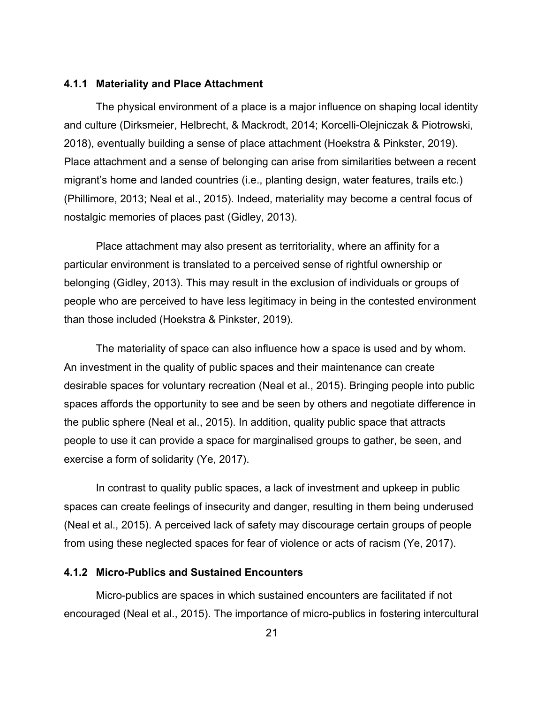#### <span id="page-27-0"></span>**4.1.1 Materiality and Place Attachment**

The physical environment of a place is a major influence on shaping local identity and culture (Dirksmeier, Helbrecht, & Mackrodt, 2014; Korcelli-Olejniczak & Piotrowski, 2018), eventually building a sense of place attachment (Hoekstra & Pinkster, 2019). Place attachment and a sense of belonging can arise from similarities between a recent migrant's home and landed countries (i.e., planting design, water features, trails etc.) (Phillimore, 2013; Neal et al., 2015). Indeed, materiality may become a central focus of nostalgic memories of places past (Gidley, 2013).

Place attachment may also present as territoriality, where an affinity for a particular environment is translated to a perceived sense of rightful ownership or belonging (Gidley, 2013). This may result in the exclusion of individuals or groups of people who are perceived to have less legitimacy in being in the contested environment than those included (Hoekstra & Pinkster, 2019).

The materiality of space can also influence how a space is used and by whom. An investment in the quality of public spaces and their maintenance can create desirable spaces for voluntary recreation (Neal et al., 2015). Bringing people into public spaces affords the opportunity to see and be seen by others and negotiate difference in the public sphere (Neal et al., 2015). In addition, quality public space that attracts people to use it can provide a space for marginalised groups to gather, be seen, and exercise a form of solidarity (Ye, 2017).

In contrast to quality public spaces, a lack of investment and upkeep in public spaces can create feelings of insecurity and danger, resulting in them being underused (Neal et al., 2015). A perceived lack of safety may discourage certain groups of people from using these neglected spaces for fear of violence or acts of racism (Ye, 2017).

#### <span id="page-27-1"></span>**4.1.2 Micro-Publics and Sustained Encounters**

Micro-publics are spaces in which sustained encounters are facilitated if not encouraged (Neal et al., 2015). The importance of micro-publics in fostering intercultural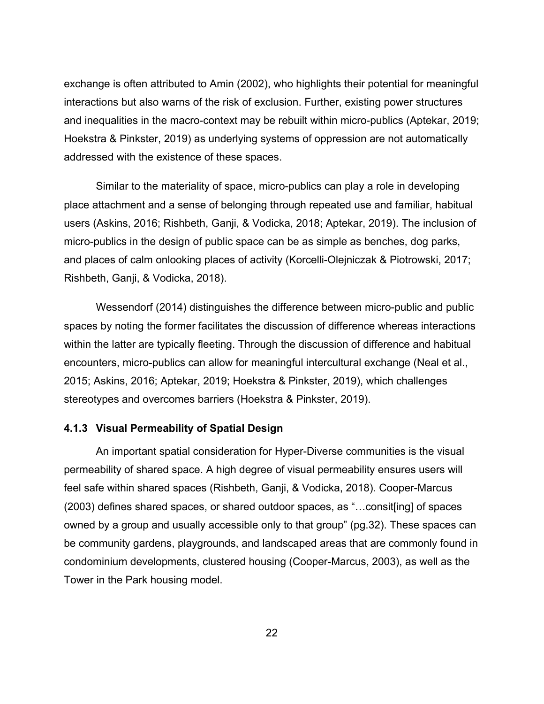exchange is often attributed to Amin (2002), who highlights their potential for meaningful interactions but also warns of the risk of exclusion. Further, existing power structures and inequalities in the macro-context may be rebuilt within micro-publics (Aptekar, 2019; Hoekstra & Pinkster, 2019) as underlying systems of oppression are not automatically addressed with the existence of these spaces.

Similar to the materiality of space, micro-publics can play a role in developing place attachment and a sense of belonging through repeated use and familiar, habitual users (Askins, 2016; Rishbeth, Ganji, & Vodicka, 2018; Aptekar, 2019). The inclusion of micro-publics in the design of public space can be as simple as benches, dog parks, and places of calm onlooking places of activity (Korcelli-Olejniczak & Piotrowski, 2017; Rishbeth, Ganji, & Vodicka, 2018).

Wessendorf (2014) distinguishes the difference between micro-public and public spaces by noting the former facilitates the discussion of difference whereas interactions within the latter are typically fleeting. Through the discussion of difference and habitual encounters, micro-publics can allow for meaningful intercultural exchange (Neal et al., 2015; Askins, 2016; Aptekar, 2019; Hoekstra & Pinkster, 2019), which challenges stereotypes and overcomes barriers (Hoekstra & Pinkster, 2019).

#### <span id="page-28-0"></span>**4.1.3 Visual Permeability of Spatial Design**

An important spatial consideration for Hyper-Diverse communities is the visual permeability of shared space. A high degree of visual permeability ensures users will feel safe within shared spaces (Rishbeth, Ganji, & Vodicka, 2018). Cooper-Marcus (2003) defines shared spaces, or shared outdoor spaces, as "…consit[ing] of spaces owned by a group and usually accessible only to that group" (pg.32). These spaces can be community gardens, playgrounds, and landscaped areas that are commonly found in condominium developments, clustered housing (Cooper-Marcus, 2003), as well as the Tower in the Park housing model.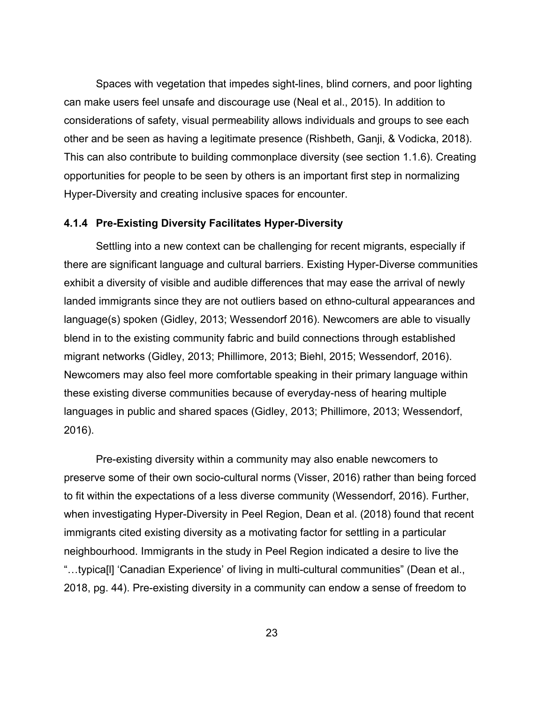Spaces with vegetation that impedes sight-lines, blind corners, and poor lighting can make users feel unsafe and discourage use (Neal et al., 2015). In addition to considerations of safety, visual permeability allows individuals and groups to see each other and be seen as having a legitimate presence (Rishbeth, Ganji, & Vodicka, 2018). This can also contribute to building commonplace diversity (see section 1.1.6). Creating opportunities for people to be seen by others is an important first step in normalizing Hyper-Diversity and creating inclusive spaces for encounter.

#### <span id="page-29-0"></span>**4.1.4 Pre-Existing Diversity Facilitates Hyper-Diversity**

Settling into a new context can be challenging for recent migrants, especially if there are significant language and cultural barriers. Existing Hyper-Diverse communities exhibit a diversity of visible and audible differences that may ease the arrival of newly landed immigrants since they are not outliers based on ethno-cultural appearances and language(s) spoken (Gidley, 2013; Wessendorf 2016). Newcomers are able to visually blend in to the existing community fabric and build connections through established migrant networks (Gidley, 2013; Phillimore, 2013; Biehl, 2015; Wessendorf, 2016). Newcomers may also feel more comfortable speaking in their primary language within these existing diverse communities because of everyday-ness of hearing multiple languages in public and shared spaces (Gidley, 2013; Phillimore, 2013; Wessendorf, 2016).

Pre-existing diversity within a community may also enable newcomers to preserve some of their own socio-cultural norms (Visser, 2016) rather than being forced to fit within the expectations of a less diverse community (Wessendorf, 2016). Further, when investigating Hyper-Diversity in Peel Region, Dean et al. (2018) found that recent immigrants cited existing diversity as a motivating factor for settling in a particular neighbourhood. Immigrants in the study in Peel Region indicated a desire to live the "…typica[l] 'Canadian Experience' of living in multi-cultural communities" (Dean et al., 2018, pg. 44). Pre-existing diversity in a community can endow a sense of freedom to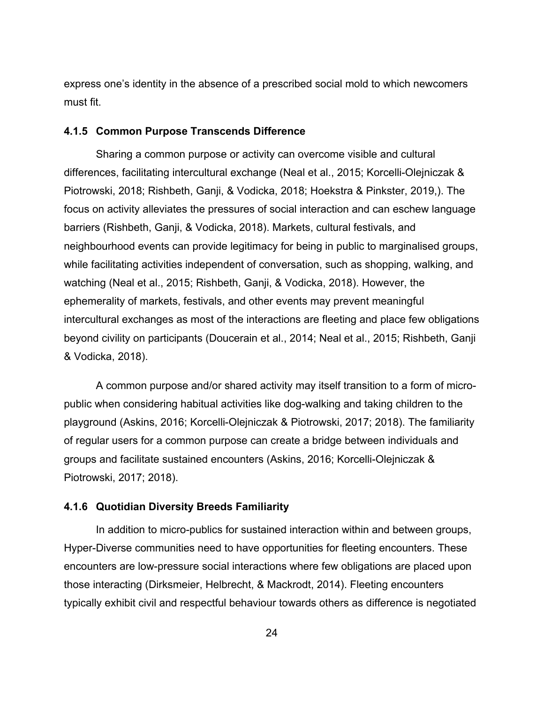express one's identity in the absence of a prescribed social mold to which newcomers must fit.

#### <span id="page-30-0"></span>**4.1.5 Common Purpose Transcends Difference**

Sharing a common purpose or activity can overcome visible and cultural differences, facilitating intercultural exchange (Neal et al., 2015; Korcelli-Olejniczak & Piotrowski, 2018; Rishbeth, Ganji, & Vodicka, 2018; Hoekstra & Pinkster, 2019,). The focus on activity alleviates the pressures of social interaction and can eschew language barriers (Rishbeth, Ganji, & Vodicka, 2018). Markets, cultural festivals, and neighbourhood events can provide legitimacy for being in public to marginalised groups, while facilitating activities independent of conversation, such as shopping, walking, and watching (Neal et al., 2015; Rishbeth, Ganji, & Vodicka, 2018). However, the ephemerality of markets, festivals, and other events may prevent meaningful intercultural exchanges as most of the interactions are fleeting and place few obligations beyond civility on participants (Doucerain et al., 2014; Neal et al., 2015; Rishbeth, Ganji & Vodicka, 2018).

A common purpose and/or shared activity may itself transition to a form of micropublic when considering habitual activities like dog-walking and taking children to the playground (Askins, 2016; Korcelli-Olejniczak & Piotrowski, 2017; 2018). The familiarity of regular users for a common purpose can create a bridge between individuals and groups and facilitate sustained encounters (Askins, 2016; Korcelli-Olejniczak & Piotrowski, 2017; 2018).

#### <span id="page-30-1"></span>**4.1.6 Quotidian Diversity Breeds Familiarity**

In addition to micro-publics for sustained interaction within and between groups, Hyper-Diverse communities need to have opportunities for fleeting encounters. These encounters are low-pressure social interactions where few obligations are placed upon those interacting (Dirksmeier, Helbrecht, & Mackrodt, 2014). Fleeting encounters typically exhibit civil and respectful behaviour towards others as difference is negotiated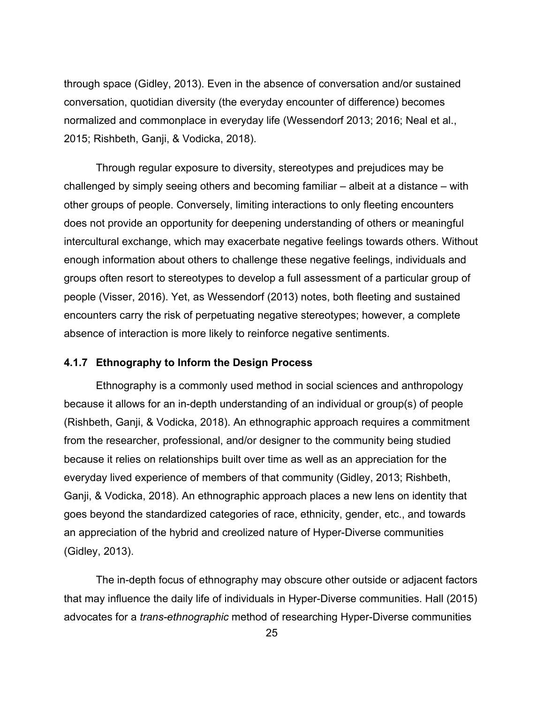through space (Gidley, 2013). Even in the absence of conversation and/or sustained conversation, quotidian diversity (the everyday encounter of difference) becomes normalized and commonplace in everyday life (Wessendorf 2013; 2016; Neal et al., 2015; Rishbeth, Ganji, & Vodicka, 2018).

Through regular exposure to diversity, stereotypes and prejudices may be challenged by simply seeing others and becoming familiar – albeit at a distance – with other groups of people. Conversely, limiting interactions to only fleeting encounters does not provide an opportunity for deepening understanding of others or meaningful intercultural exchange, which may exacerbate negative feelings towards others. Without enough information about others to challenge these negative feelings, individuals and groups often resort to stereotypes to develop a full assessment of a particular group of people (Visser, 2016). Yet, as Wessendorf (2013) notes, both fleeting and sustained encounters carry the risk of perpetuating negative stereotypes; however, a complete absence of interaction is more likely to reinforce negative sentiments.

#### <span id="page-31-0"></span>**4.1.7 Ethnography to Inform the Design Process**

Ethnography is a commonly used method in social sciences and anthropology because it allows for an in-depth understanding of an individual or group(s) of people (Rishbeth, Ganji, & Vodicka, 2018). An ethnographic approach requires a commitment from the researcher, professional, and/or designer to the community being studied because it relies on relationships built over time as well as an appreciation for the everyday lived experience of members of that community (Gidley, 2013; Rishbeth, Ganji, & Vodicka, 2018). An ethnographic approach places a new lens on identity that goes beyond the standardized categories of race, ethnicity, gender, etc., and towards an appreciation of the hybrid and creolized nature of Hyper-Diverse communities (Gidley, 2013).

The in-depth focus of ethnography may obscure other outside or adjacent factors that may influence the daily life of individuals in Hyper-Diverse communities. Hall (2015) advocates for a *trans-ethnographic* method of researching Hyper-Diverse communities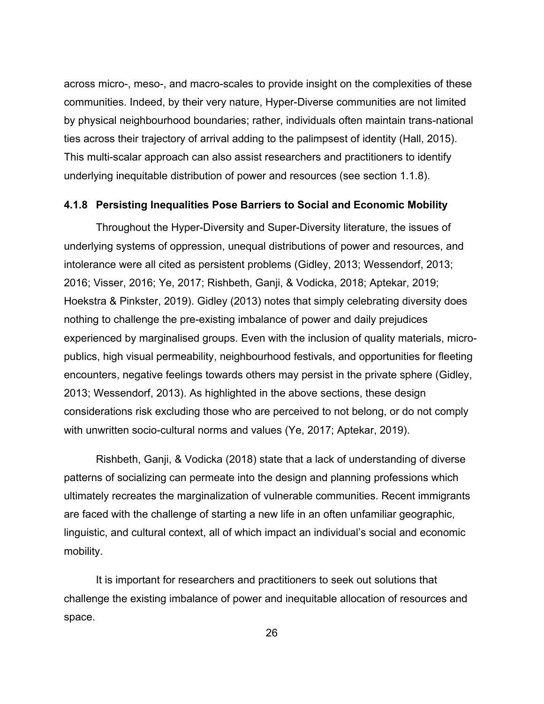across micro-, meso-, and macro-scales to provide insight on the complexities of these communities. Indeed, by their very nature, Hyper-Diverse communities are not limited by physical neighbourhood boundaries; rather, individuals often maintain trans-national ties across their trajectory of arrival adding to the palimpsest of identity (Hall, 2015). This multi-scalar approach can also assist researchers and practitioners to identify underlying inequitable distribution of power and resources (see section 1.1.8).

#### <span id="page-32-0"></span>**4.1.8 Persisting Inequalities Pose Barriers to Social and Economic Mobility**

Throughout the Hyper-Diversity and Super-Diversity literature, the issues of underlying systems of oppression, unequal distributions of power and resources, and intolerance were all cited as persistent problems (Gidley, 2013; Wessendorf, 2013; 2016; Visser, 2016; Ye, 2017; Rishbeth, Ganji, & Vodicka, 2018; Aptekar, 2019; Hoekstra & Pinkster, 2019). Gidley (2013) notes that simply celebrating diversity does nothing to challenge the pre-existing imbalance of power and daily prejudices experienced by marginalised groups. Even with the inclusion of quality materials, micropublics, high visual permeability, neighbourhood festivals, and opportunities for fleeting encounters, negative feelings towards others may persist in the private sphere (Gidley, 2013; Wessendorf, 2013). As highlighted in the above sections, these design considerations risk excluding those who are perceived to not belong, or do not comply with unwritten socio-cultural norms and values (Ye, 2017; Aptekar, 2019).

Rishbeth, Ganji, & Vodicka (2018) state that a lack of understanding of diverse patterns of socializing can permeate into the design and planning professions which ultimately recreates the marginalization of vulnerable communities. Recent immigrants are faced with the challenge of starting a new life in an often unfamiliar geographic, linguistic, and cultural context, all of which impact an individual's social and economic mobility.

It is important for researchers and practitioners to seek out solutions that challenge the existing imbalance of power and inequitable allocation of resources and space.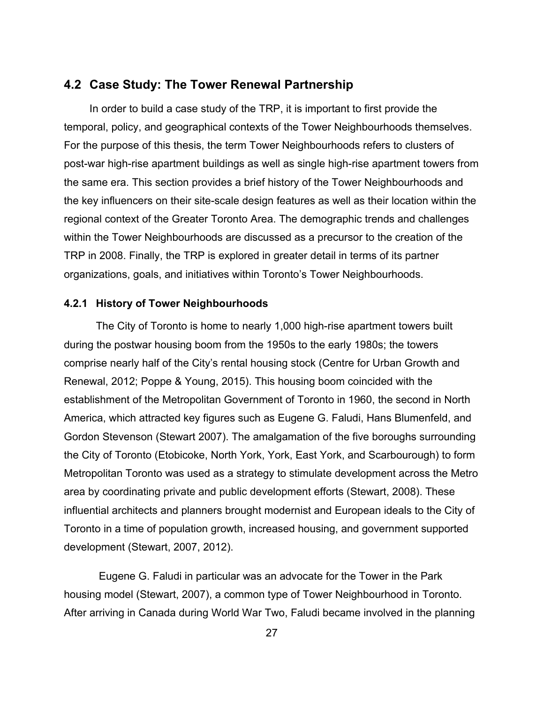### <span id="page-33-0"></span>**4.2 Case Study: The Tower Renewal Partnership**

In order to build a case study of the TRP, it is important to first provide the temporal, policy, and geographical contexts of the Tower Neighbourhoods themselves. For the purpose of this thesis, the term Tower Neighbourhoods refers to clusters of post-war high-rise apartment buildings as well as single high-rise apartment towers from the same era. This section provides a brief history of the Tower Neighbourhoods and the key influencers on their site-scale design features as well as their location within the regional context of the Greater Toronto Area. The demographic trends and challenges within the Tower Neighbourhoods are discussed as a precursor to the creation of the TRP in 2008. Finally, the TRP is explored in greater detail in terms of its partner organizations, goals, and initiatives within Toronto's Tower Neighbourhoods.

#### <span id="page-33-1"></span>**4.2.1 History of Tower Neighbourhoods**

The City of Toronto is home to nearly 1,000 high-rise apartment towers built during the postwar housing boom from the 1950s to the early 1980s; the towers comprise nearly half of the City's rental housing stock (Centre for Urban Growth and Renewal, 2012; Poppe & Young, 2015). This housing boom coincided with the establishment of the Metropolitan Government of Toronto in 1960, the second in North America, which attracted key figures such as Eugene G. Faludi, Hans Blumenfeld, and Gordon Stevenson (Stewart 2007). The amalgamation of the five boroughs surrounding the City of Toronto (Etobicoke, North York, York, East York, and Scarbourough) to form Metropolitan Toronto was used as a strategy to stimulate development across the Metro area by coordinating private and public development efforts (Stewart, 2008). These influential architects and planners brought modernist and European ideals to the City of Toronto in a time of population growth, increased housing, and government supported development (Stewart, 2007, 2012).

Eugene G. Faludi in particular was an advocate for the Tower in the Park housing model (Stewart, 2007), a common type of Tower Neighbourhood in Toronto. After arriving in Canada during World War Two, Faludi became involved in the planning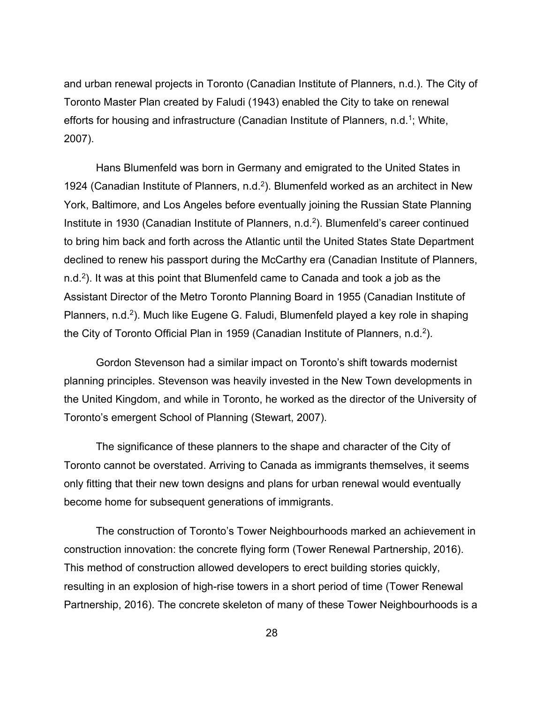and urban renewal projects in Toronto (Canadian Institute of Planners, n.d.). The City of Toronto Master Plan created by Faludi (1943) enabled the City to take on renewal efforts for housing and infrastructure (Canadian Institute of Planners, n.d.<sup>1</sup>; White, 2007).

Hans Blumenfeld was born in Germany and emigrated to the United States in 1924 (Canadian Institute of Planners, n.d.<sup>2</sup>). Blumenfeld worked as an architect in New York, Baltimore, and Los Angeles before eventually joining the Russian State Planning Institute in 1930 (Canadian Institute of Planners, n.d.2). Blumenfeld's career continued to bring him back and forth across the Atlantic until the United States State Department declined to renew his passport during the McCarthy era (Canadian Institute of Planners, n.d.<sup>2</sup>). It was at this point that Blumenfeld came to Canada and took a job as the Assistant Director of the Metro Toronto Planning Board in 1955 (Canadian Institute of Planners, n.d.<sup>2</sup>). Much like Eugene G. Faludi, Blumenfeld played a key role in shaping the City of Toronto Official Plan in 1959 (Canadian Institute of Planners, n.d.<sup>2</sup>).

Gordon Stevenson had a similar impact on Toronto's shift towards modernist planning principles. Stevenson was heavily invested in the New Town developments in the United Kingdom, and while in Toronto, he worked as the director of the University of Toronto's emergent School of Planning (Stewart, 2007).

The significance of these planners to the shape and character of the City of Toronto cannot be overstated. Arriving to Canada as immigrants themselves, it seems only fitting that their new town designs and plans for urban renewal would eventually become home for subsequent generations of immigrants.

The construction of Toronto's Tower Neighbourhoods marked an achievement in construction innovation: the concrete flying form (Tower Renewal Partnership, 2016). This method of construction allowed developers to erect building stories quickly, resulting in an explosion of high-rise towers in a short period of time (Tower Renewal Partnership, 2016). The concrete skeleton of many of these Tower Neighbourhoods is a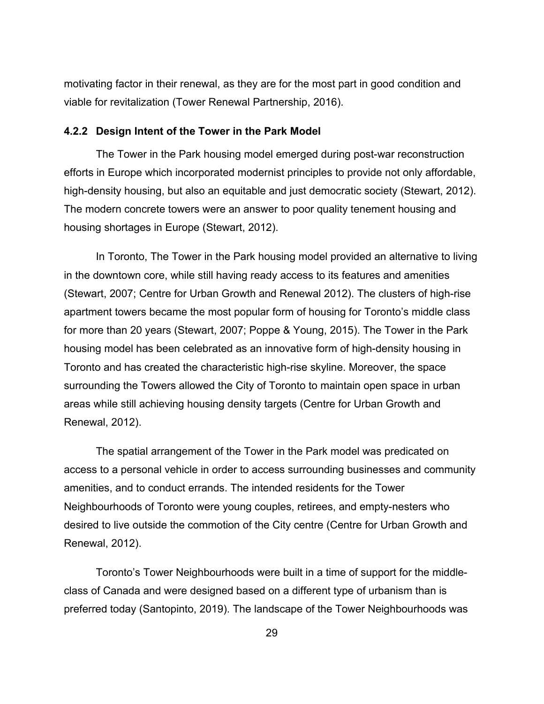motivating factor in their renewal, as they are for the most part in good condition and viable for revitalization (Tower Renewal Partnership, 2016).

#### <span id="page-35-0"></span>**4.2.2 Design Intent of the Tower in the Park Model**

The Tower in the Park housing model emerged during post-war reconstruction efforts in Europe which incorporated modernist principles to provide not only affordable, high-density housing, but also an equitable and just democratic society (Stewart, 2012). The modern concrete towers were an answer to poor quality tenement housing and housing shortages in Europe (Stewart, 2012).

In Toronto, The Tower in the Park housing model provided an alternative to living in the downtown core, while still having ready access to its features and amenities (Stewart, 2007; Centre for Urban Growth and Renewal 2012). The clusters of high-rise apartment towers became the most popular form of housing for Toronto's middle class for more than 20 years (Stewart, 2007; Poppe & Young, 2015). The Tower in the Park housing model has been celebrated as an innovative form of high-density housing in Toronto and has created the characteristic high-rise skyline. Moreover, the space surrounding the Towers allowed the City of Toronto to maintain open space in urban areas while still achieving housing density targets (Centre for Urban Growth and Renewal, 2012).

The spatial arrangement of the Tower in the Park model was predicated on access to a personal vehicle in order to access surrounding businesses and community amenities, and to conduct errands. The intended residents for the Tower Neighbourhoods of Toronto were young couples, retirees, and empty-nesters who desired to live outside the commotion of the City centre (Centre for Urban Growth and Renewal, 2012).

Toronto's Tower Neighbourhoods were built in a time of support for the middleclass of Canada and were designed based on a different type of urbanism than is preferred today (Santopinto, 2019). The landscape of the Tower Neighbourhoods was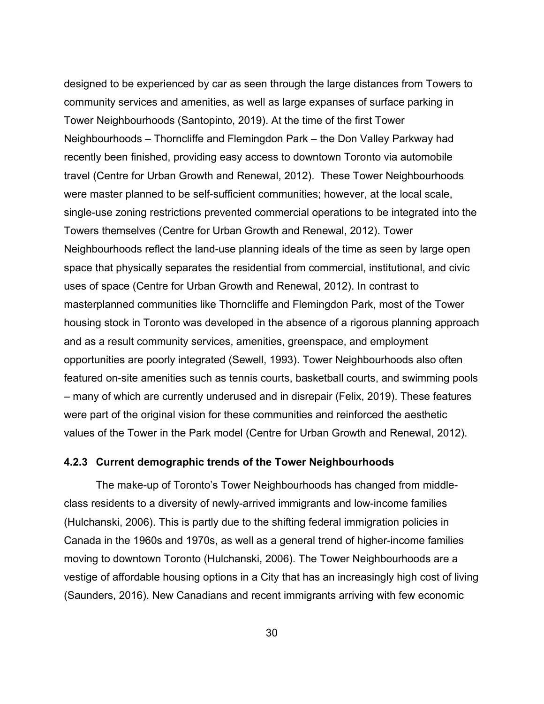designed to be experienced by car as seen through the large distances from Towers to community services and amenities, as well as large expanses of surface parking in Tower Neighbourhoods (Santopinto, 2019). At the time of the first Tower Neighbourhoods – Thorncliffe and Flemingdon Park – the Don Valley Parkway had recently been finished, providing easy access to downtown Toronto via automobile travel (Centre for Urban Growth and Renewal, 2012). These Tower Neighbourhoods were master planned to be self-sufficient communities; however, at the local scale, single-use zoning restrictions prevented commercial operations to be integrated into the Towers themselves (Centre for Urban Growth and Renewal, 2012). Tower Neighbourhoods reflect the land-use planning ideals of the time as seen by large open space that physically separates the residential from commercial, institutional, and civic uses of space (Centre for Urban Growth and Renewal, 2012). In contrast to masterplanned communities like Thorncliffe and Flemingdon Park, most of the Tower housing stock in Toronto was developed in the absence of a rigorous planning approach and as a result community services, amenities, greenspace, and employment opportunities are poorly integrated (Sewell, 1993). Tower Neighbourhoods also often featured on-site amenities such as tennis courts, basketball courts, and swimming pools – many of which are currently underused and in disrepair (Felix, 2019). These features were part of the original vision for these communities and reinforced the aesthetic values of the Tower in the Park model (Centre for Urban Growth and Renewal, 2012).

#### <span id="page-36-0"></span>**4.2.3 Current demographic trends of the Tower Neighbourhoods**

The make-up of Toronto's Tower Neighbourhoods has changed from middleclass residents to a diversity of newly-arrived immigrants and low-income families (Hulchanski, 2006). This is partly due to the shifting federal immigration policies in Canada in the 1960s and 1970s, as well as a general trend of higher-income families moving to downtown Toronto (Hulchanski, 2006). The Tower Neighbourhoods are a vestige of affordable housing options in a City that has an increasingly high cost of living (Saunders, 2016). New Canadians and recent immigrants arriving with few economic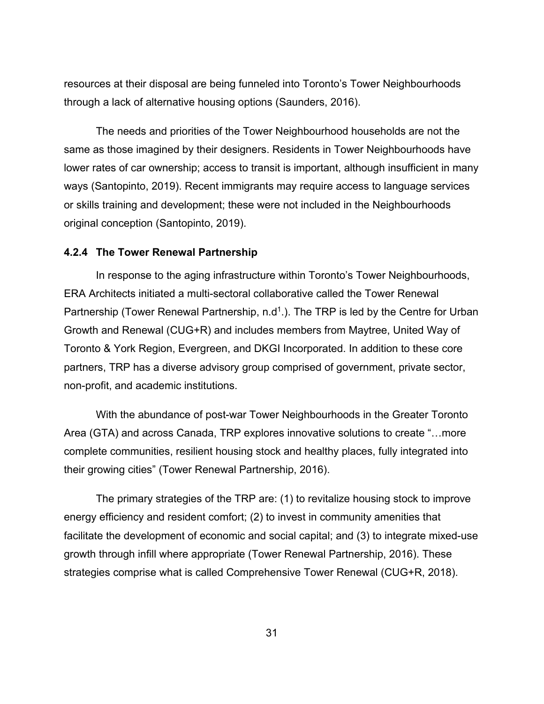resources at their disposal are being funneled into Toronto's Tower Neighbourhoods through a lack of alternative housing options (Saunders, 2016).

The needs and priorities of the Tower Neighbourhood households are not the same as those imagined by their designers. Residents in Tower Neighbourhoods have lower rates of car ownership; access to transit is important, although insufficient in many ways (Santopinto, 2019). Recent immigrants may require access to language services or skills training and development; these were not included in the Neighbourhoods original conception (Santopinto, 2019).

#### <span id="page-37-0"></span>**4.2.4 The Tower Renewal Partnership**

In response to the aging infrastructure within Toronto's Tower Neighbourhoods, ERA Architects initiated a multi-sectoral collaborative called the Tower Renewal Partnership (Tower Renewal Partnership,  $n.d<sup>1</sup>$ ). The TRP is led by the Centre for Urban Growth and Renewal (CUG+R) and includes members from Maytree, United Way of Toronto & York Region, Evergreen, and DKGI Incorporated. In addition to these core partners, TRP has a diverse advisory group comprised of government, private sector, non-profit, and academic institutions.

With the abundance of post-war Tower Neighbourhoods in the Greater Toronto Area (GTA) and across Canada, TRP explores innovative solutions to create "…more complete communities, resilient housing stock and healthy places, fully integrated into their growing cities" (Tower Renewal Partnership, 2016).

The primary strategies of the TRP are: (1) to revitalize housing stock to improve energy efficiency and resident comfort; (2) to invest in community amenities that facilitate the development of economic and social capital; and (3) to integrate mixed-use growth through infill where appropriate (Tower Renewal Partnership, 2016). These strategies comprise what is called Comprehensive Tower Renewal (CUG+R, 2018).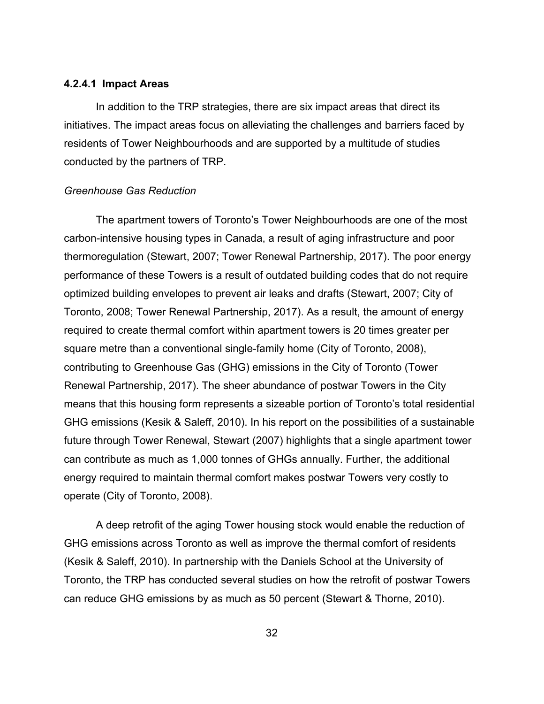#### **4.2.4.1 Impact Areas**

In addition to the TRP strategies, there are six impact areas that direct its initiatives. The impact areas focus on alleviating the challenges and barriers faced by residents of Tower Neighbourhoods and are supported by a multitude of studies conducted by the partners of TRP.

#### *Greenhouse Gas Reduction*

The apartment towers of Toronto's Tower Neighbourhoods are one of the most carbon-intensive housing types in Canada, a result of aging infrastructure and poor thermoregulation (Stewart, 2007; Tower Renewal Partnership, 2017). The poor energy performance of these Towers is a result of outdated building codes that do not require optimized building envelopes to prevent air leaks and drafts (Stewart, 2007; City of Toronto, 2008; Tower Renewal Partnership, 2017). As a result, the amount of energy required to create thermal comfort within apartment towers is 20 times greater per square metre than a conventional single-family home (City of Toronto, 2008), contributing to Greenhouse Gas (GHG) emissions in the City of Toronto (Tower Renewal Partnership, 2017). The sheer abundance of postwar Towers in the City means that this housing form represents a sizeable portion of Toronto's total residential GHG emissions (Kesik & Saleff, 2010). In his report on the possibilities of a sustainable future through Tower Renewal, Stewart (2007) highlights that a single apartment tower can contribute as much as 1,000 tonnes of GHGs annually. Further, the additional energy required to maintain thermal comfort makes postwar Towers very costly to operate (City of Toronto, 2008).

A deep retrofit of the aging Tower housing stock would enable the reduction of GHG emissions across Toronto as well as improve the thermal comfort of residents (Kesik & Saleff, 2010). In partnership with the Daniels School at the University of Toronto, the TRP has conducted several studies on how the retrofit of postwar Towers can reduce GHG emissions by as much as 50 percent (Stewart & Thorne, 2010).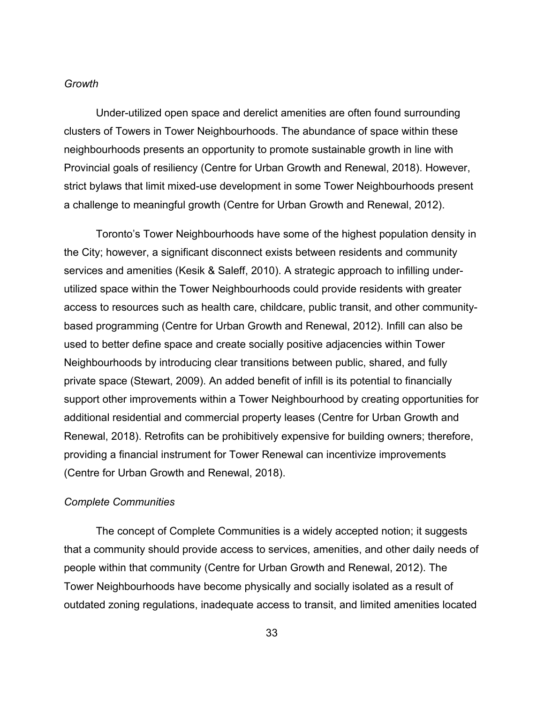#### *Growth*

Under-utilized open space and derelict amenities are often found surrounding clusters of Towers in Tower Neighbourhoods. The abundance of space within these neighbourhoods presents an opportunity to promote sustainable growth in line with Provincial goals of resiliency (Centre for Urban Growth and Renewal, 2018). However, strict bylaws that limit mixed-use development in some Tower Neighbourhoods present a challenge to meaningful growth (Centre for Urban Growth and Renewal, 2012).

Toronto's Tower Neighbourhoods have some of the highest population density in the City; however, a significant disconnect exists between residents and community services and amenities (Kesik & Saleff, 2010). A strategic approach to infilling underutilized space within the Tower Neighbourhoods could provide residents with greater access to resources such as health care, childcare, public transit, and other communitybased programming (Centre for Urban Growth and Renewal, 2012). Infill can also be used to better define space and create socially positive adjacencies within Tower Neighbourhoods by introducing clear transitions between public, shared, and fully private space (Stewart, 2009). An added benefit of infill is its potential to financially support other improvements within a Tower Neighbourhood by creating opportunities for additional residential and commercial property leases (Centre for Urban Growth and Renewal, 2018). Retrofits can be prohibitively expensive for building owners; therefore, providing a financial instrument for Tower Renewal can incentivize improvements (Centre for Urban Growth and Renewal, 2018).

#### *Complete Communities*

The concept of Complete Communities is a widely accepted notion; it suggests that a community should provide access to services, amenities, and other daily needs of people within that community (Centre for Urban Growth and Renewal, 2012). The Tower Neighbourhoods have become physically and socially isolated as a result of outdated zoning regulations, inadequate access to transit, and limited amenities located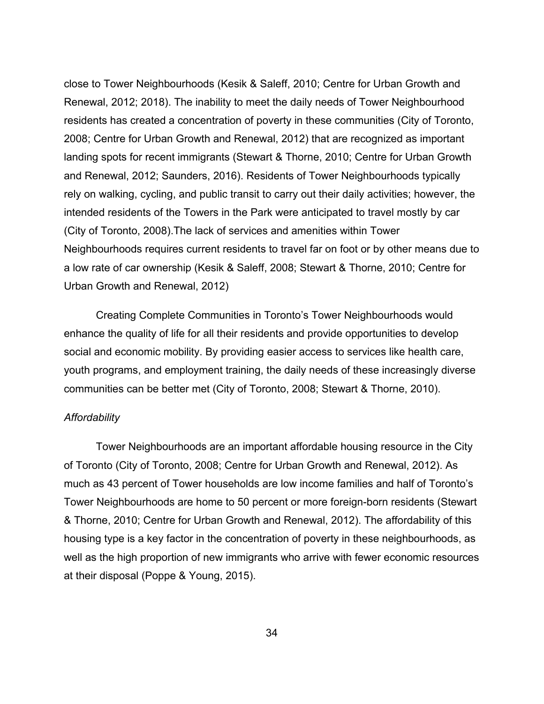close to Tower Neighbourhoods (Kesik & Saleff, 2010; Centre for Urban Growth and Renewal, 2012; 2018). The inability to meet the daily needs of Tower Neighbourhood residents has created a concentration of poverty in these communities (City of Toronto, 2008; Centre for Urban Growth and Renewal, 2012) that are recognized as important landing spots for recent immigrants (Stewart & Thorne, 2010; Centre for Urban Growth and Renewal, 2012; Saunders, 2016). Residents of Tower Neighbourhoods typically rely on walking, cycling, and public transit to carry out their daily activities; however, the intended residents of the Towers in the Park were anticipated to travel mostly by car (City of Toronto, 2008).The lack of services and amenities within Tower Neighbourhoods requires current residents to travel far on foot or by other means due to a low rate of car ownership (Kesik & Saleff, 2008; Stewart & Thorne, 2010; Centre for Urban Growth and Renewal, 2012)

Creating Complete Communities in Toronto's Tower Neighbourhoods would enhance the quality of life for all their residents and provide opportunities to develop social and economic mobility. By providing easier access to services like health care, youth programs, and employment training, the daily needs of these increasingly diverse communities can be better met (City of Toronto, 2008; Stewart & Thorne, 2010).

#### *Affordability*

Tower Neighbourhoods are an important affordable housing resource in the City of Toronto (City of Toronto, 2008; Centre for Urban Growth and Renewal, 2012). As much as 43 percent of Tower households are low income families and half of Toronto's Tower Neighbourhoods are home to 50 percent or more foreign-born residents (Stewart & Thorne, 2010; Centre for Urban Growth and Renewal, 2012). The affordability of this housing type is a key factor in the concentration of poverty in these neighbourhoods, as well as the high proportion of new immigrants who arrive with fewer economic resources at their disposal (Poppe & Young, 2015).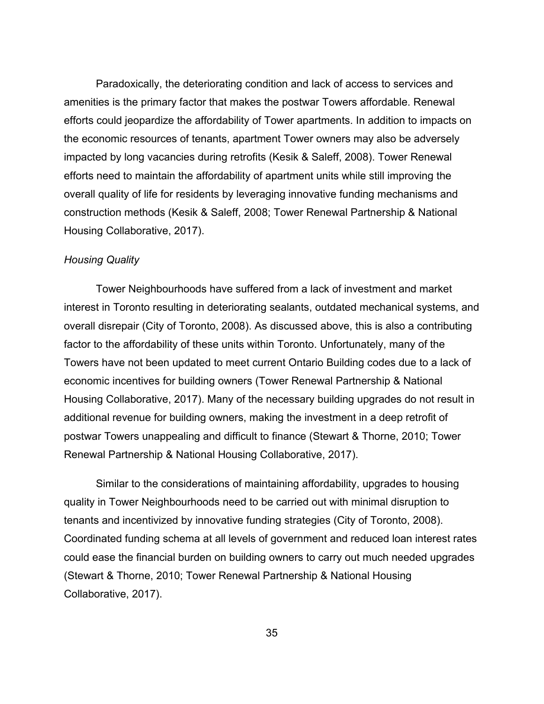Paradoxically, the deteriorating condition and lack of access to services and amenities is the primary factor that makes the postwar Towers affordable. Renewal efforts could jeopardize the affordability of Tower apartments. In addition to impacts on the economic resources of tenants, apartment Tower owners may also be adversely impacted by long vacancies during retrofits (Kesik & Saleff, 2008). Tower Renewal efforts need to maintain the affordability of apartment units while still improving the overall quality of life for residents by leveraging innovative funding mechanisms and construction methods (Kesik & Saleff, 2008; Tower Renewal Partnership & National Housing Collaborative, 2017).

#### *Housing Quality*

Tower Neighbourhoods have suffered from a lack of investment and market interest in Toronto resulting in deteriorating sealants, outdated mechanical systems, and overall disrepair (City of Toronto, 2008). As discussed above, this is also a contributing factor to the affordability of these units within Toronto. Unfortunately, many of the Towers have not been updated to meet current Ontario Building codes due to a lack of economic incentives for building owners (Tower Renewal Partnership & National Housing Collaborative, 2017). Many of the necessary building upgrades do not result in additional revenue for building owners, making the investment in a deep retrofit of postwar Towers unappealing and difficult to finance (Stewart & Thorne, 2010; Tower Renewal Partnership & National Housing Collaborative, 2017).

Similar to the considerations of maintaining affordability, upgrades to housing quality in Tower Neighbourhoods need to be carried out with minimal disruption to tenants and incentivized by innovative funding strategies (City of Toronto, 2008). Coordinated funding schema at all levels of government and reduced loan interest rates could ease the financial burden on building owners to carry out much needed upgrades (Stewart & Thorne, 2010; Tower Renewal Partnership & National Housing Collaborative, 2017).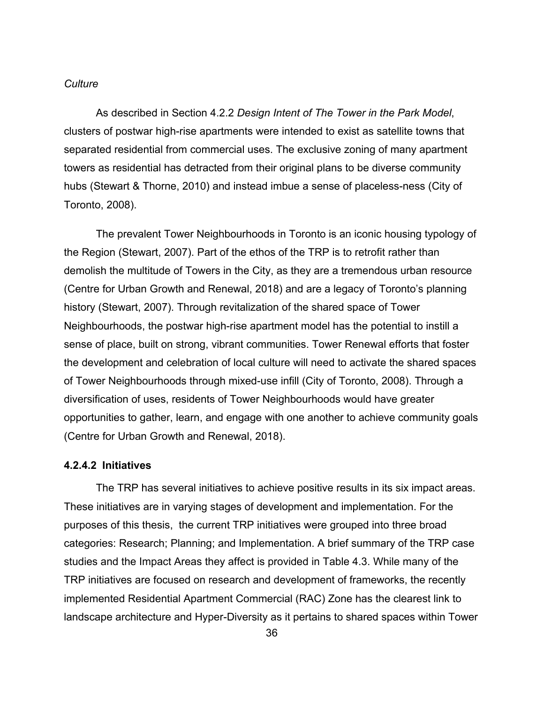#### *Culture*

As described in Section 4.2.2 *Design Intent of The Tower in the Park Model*, clusters of postwar high-rise apartments were intended to exist as satellite towns that separated residential from commercial uses. The exclusive zoning of many apartment towers as residential has detracted from their original plans to be diverse community hubs (Stewart & Thorne, 2010) and instead imbue a sense of placeless-ness (City of Toronto, 2008).

The prevalent Tower Neighbourhoods in Toronto is an iconic housing typology of the Region (Stewart, 2007). Part of the ethos of the TRP is to retrofit rather than demolish the multitude of Towers in the City, as they are a tremendous urban resource (Centre for Urban Growth and Renewal, 2018) and are a legacy of Toronto's planning history (Stewart, 2007). Through revitalization of the shared space of Tower Neighbourhoods, the postwar high-rise apartment model has the potential to instill a sense of place, built on strong, vibrant communities. Tower Renewal efforts that foster the development and celebration of local culture will need to activate the shared spaces of Tower Neighbourhoods through mixed-use infill (City of Toronto, 2008). Through a diversification of uses, residents of Tower Neighbourhoods would have greater opportunities to gather, learn, and engage with one another to achieve community goals (Centre for Urban Growth and Renewal, 2018).

#### **4.2.4.2 Initiatives**

The TRP has several initiatives to achieve positive results in its six impact areas. These initiatives are in varying stages of development and implementation. For the purposes of this thesis, the current TRP initiatives were grouped into three broad categories: Research; Planning; and Implementation. A brief summary of the TRP case studies and the Impact Areas they affect is provided in Table 4.3. While many of the TRP initiatives are focused on research and development of frameworks, the recently implemented Residential Apartment Commercial (RAC) Zone has the clearest link to landscape architecture and Hyper-Diversity as it pertains to shared spaces within Tower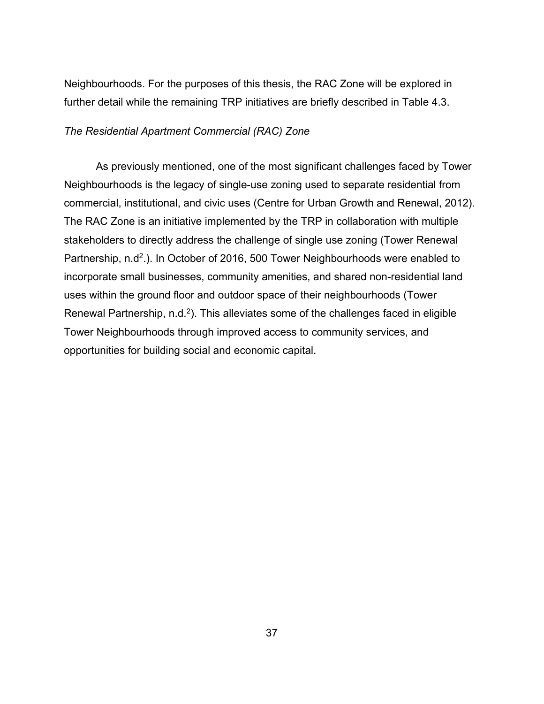Neighbourhoods. For the purposes of this thesis, the RAC Zone will be explored in further detail while the remaining TRP initiatives are briefly described in Table 4.3.

#### *The Residential Apartment Commercial (RAC) Zone*

As previously mentioned, one of the most significant challenges faced by Tower Neighbourhoods is the legacy of single-use zoning used to separate residential from commercial, institutional, and civic uses (Centre for Urban Growth and Renewal, 2012). The RAC Zone is an initiative implemented by the TRP in collaboration with multiple stakeholders to directly address the challenge of single use zoning (Tower Renewal Partnership, n.d<sup>2</sup>.). In October of 2016, 500 Tower Neighbourhoods were enabled to incorporate small businesses, community amenities, and shared non-residential land uses within the ground floor and outdoor space of their neighbourhoods (Tower Renewal Partnership,  $n.d.^2$ ). This alleviates some of the challenges faced in eligible Tower Neighbourhoods through improved access to community services, and opportunities for building social and economic capital.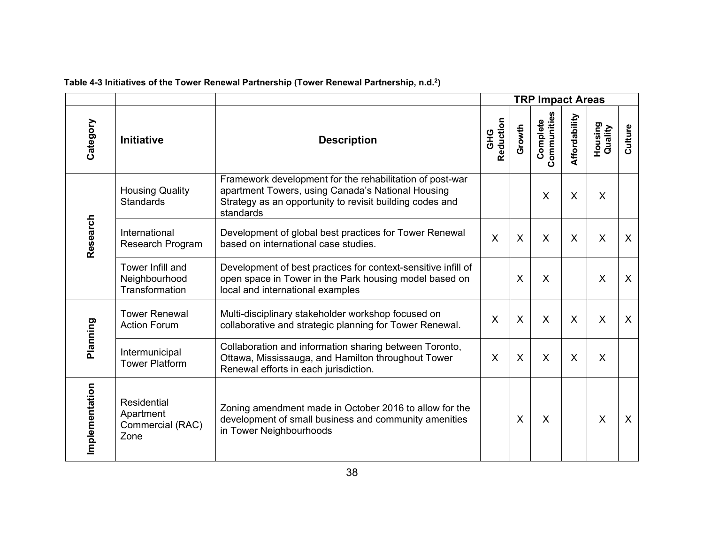<span id="page-44-0"></span>

|                |                                                      |                                                                                                                                                                                        | <b>TRP Impact Areas</b> |         |                         |               |                    |              |
|----------------|------------------------------------------------------|----------------------------------------------------------------------------------------------------------------------------------------------------------------------------------------|-------------------------|---------|-------------------------|---------------|--------------------|--------------|
| Category       | <b>Initiative</b>                                    | <b>Description</b>                                                                                                                                                                     | Reduction<br><b>GHG</b> | Growth  | Communities<br>Complete | Affordability | Housing<br>Quality | Culture      |
|                | <b>Housing Quality</b><br><b>Standards</b>           | Framework development for the rehabilitation of post-war<br>apartment Towers, using Canada's National Housing<br>Strategy as an opportunity to revisit building codes and<br>standards |                         |         | $\times$                | $\sf X$       | X                  |              |
| Research       | International<br>Research Program                    | Development of global best practices for Tower Renewal<br>based on international case studies.                                                                                         | $\sf X$                 | $\sf X$ | X                       | $\sf X$       | X                  | $\mathsf{X}$ |
|                | Tower Infill and<br>Neighbourhood<br>Transformation  | Development of best practices for context-sensitive infill of<br>open space in Tower in the Park housing model based on<br>local and international examples                            |                         | $\sf X$ | $\times$                |               | $\sf X$            | $\sf X$      |
|                | <b>Tower Renewal</b><br><b>Action Forum</b>          | Multi-disciplinary stakeholder workshop focused on<br>collaborative and strategic planning for Tower Renewal.                                                                          | $\sf X$                 | $\sf X$ | $\times$                | $\sf X$       | X                  | $\sf X$      |
| Planning       | Intermunicipal<br><b>Tower Platform</b>              | Collaboration and information sharing between Toronto,<br>Ottawa, Mississauga, and Hamilton throughout Tower<br>Renewal efforts in each jurisdiction.                                  | $\sf X$                 | $\sf X$ | $\times$                | $\sf X$       | X                  |              |
| Implementation | Residential<br>Apartment<br>Commercial (RAC)<br>Zone | Zoning amendment made in October 2016 to allow for the<br>development of small business and community amenities<br>in Tower Neighbourhoods                                             |                         | X       | $\times$                |               | X                  | X            |

## **Table 4-3 Initiatives of the Tower Renewal Partnership (Tower Renewal Partnership, n.d.2)**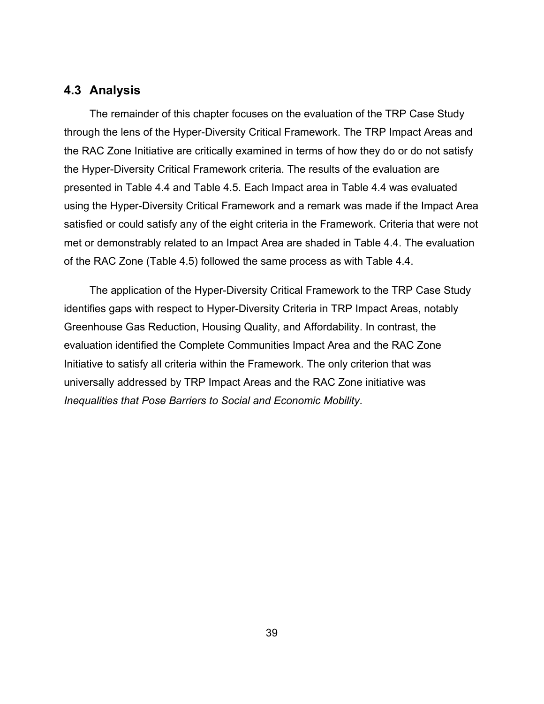### <span id="page-45-0"></span>**4.3 Analysis**

The remainder of this chapter focuses on the evaluation of the TRP Case Study through the lens of the Hyper-Diversity Critical Framework. The TRP Impact Areas and the RAC Zone Initiative are critically examined in terms of how they do or do not satisfy the Hyper-Diversity Critical Framework criteria. The results of the evaluation are presented in Table 4.4 and Table 4.5. Each Impact area in Table 4.4 was evaluated using the Hyper-Diversity Critical Framework and a remark was made if the Impact Area satisfied or could satisfy any of the eight criteria in the Framework. Criteria that were not met or demonstrably related to an Impact Area are shaded in Table 4.4. The evaluation of the RAC Zone (Table 4.5) followed the same process as with Table 4.4.

The application of the Hyper-Diversity Critical Framework to the TRP Case Study identifies gaps with respect to Hyper-Diversity Criteria in TRP Impact Areas, notably Greenhouse Gas Reduction, Housing Quality, and Affordability. In contrast, the evaluation identified the Complete Communities Impact Area and the RAC Zone Initiative to satisfy all criteria within the Framework. The only criterion that was universally addressed by TRP Impact Areas and the RAC Zone initiative was *Inequalities that Pose Barriers to Social and Economic Mobility*.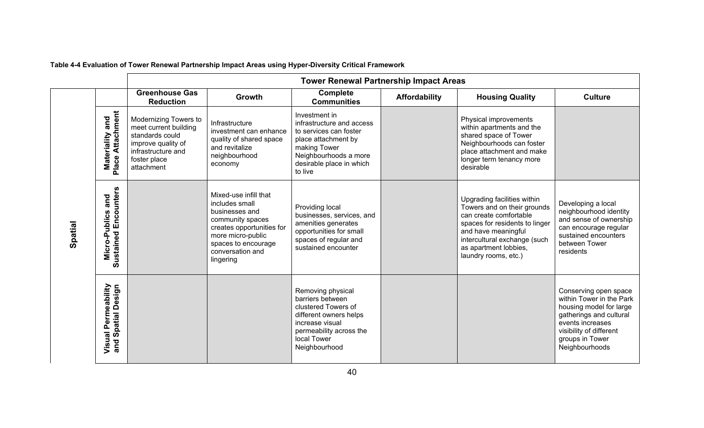<span id="page-46-0"></span>

|         |                                                     | <b>Tower Renewal Partnership Impact Areas</b>                                                                                               |                                                                                                                                                                                         |                                                                                                                                                                             |                      |                                                                                                                                                                                                                                |                                                                                                                                                                                             |  |  |  |  |
|---------|-----------------------------------------------------|---------------------------------------------------------------------------------------------------------------------------------------------|-----------------------------------------------------------------------------------------------------------------------------------------------------------------------------------------|-----------------------------------------------------------------------------------------------------------------------------------------------------------------------------|----------------------|--------------------------------------------------------------------------------------------------------------------------------------------------------------------------------------------------------------------------------|---------------------------------------------------------------------------------------------------------------------------------------------------------------------------------------------|--|--|--|--|
|         |                                                     | <b>Greenhouse Gas</b><br><b>Reduction</b>                                                                                                   | Growth                                                                                                                                                                                  | <b>Complete</b><br><b>Communities</b>                                                                                                                                       | <b>Affordability</b> | <b>Housing Quality</b>                                                                                                                                                                                                         | <b>Culture</b>                                                                                                                                                                              |  |  |  |  |
|         | <b>Materiality and<br/>Place Attachment</b>         | Modernizing Towers to<br>meet current building<br>standards could<br>improve quality of<br>infrastructure and<br>foster place<br>attachment | Infrastructure<br>investment can enhance<br>quality of shared space<br>and revitalize<br>neighbourhood<br>economy                                                                       | Investment in<br>infrastructure and access<br>to services can foster<br>place attachment by<br>making Tower<br>Neighbourhoods a more<br>desirable place in which<br>to live |                      | Physical improvements<br>within apartments and the<br>shared space of Tower<br>Neighbourhoods can foster<br>place attachment and make<br>longer term tenancy more<br>desirable                                                 |                                                                                                                                                                                             |  |  |  |  |
| Spatial | <b>Sustained Encounters</b><br>and<br>Micro-Publics |                                                                                                                                             | Mixed-use infill that<br>includes small<br>businesses and<br>community spaces<br>creates opportunities for<br>more micro-public<br>spaces to encourage<br>conversation and<br>lingering | Providing local<br>businesses, services, and<br>amenities generates<br>opportunities for small<br>spaces of regular and<br>sustained encounter                              |                      | Upgrading facilities within<br>Towers and on their grounds<br>can create comfortable<br>spaces for residents to linger<br>and have meaningful<br>intercultural exchange (such<br>as apartment lobbies,<br>laundry rooms, etc.) | Developing a local<br>neighbourhood identity<br>and sense of ownership<br>can encourage regular<br>sustained encounters<br>between Tower<br>residents                                       |  |  |  |  |
|         | Visual Permeability<br>and Spatial Design           |                                                                                                                                             |                                                                                                                                                                                         | Removing physical<br>barriers between<br>clustered Towers of<br>different owners helps<br>increase visual<br>permeability across the<br>local Tower<br>Neighbourhood        |                      |                                                                                                                                                                                                                                | Conserving open space<br>within Tower in the Park<br>housing model for large<br>gatherings and cultural<br>events increases<br>visibility of different<br>groups in Tower<br>Neighbourhoods |  |  |  |  |

## **Table 4-4 Evaluation of Tower Renewal Partnership Impact Areas using Hyper-Diversity Critical Framework**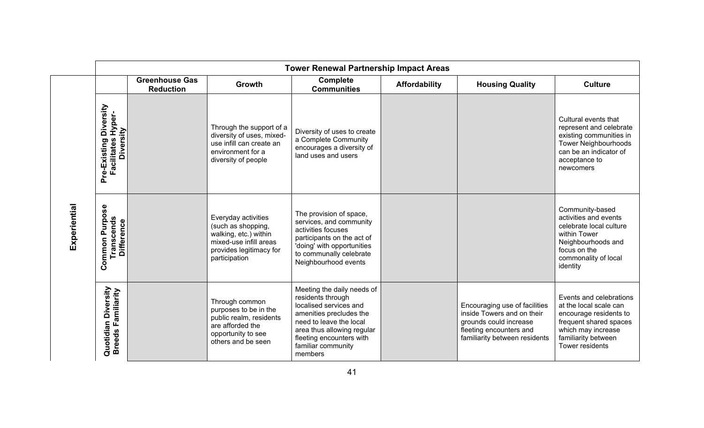|              | <b>Tower Renewal Partnership Impact Areas</b>                          |                                           |                                                                                                                                          |                                                                                                                                                                                                                            |                      |                                                                                                                                                   |                                                                                                                                                                              |
|--------------|------------------------------------------------------------------------|-------------------------------------------|------------------------------------------------------------------------------------------------------------------------------------------|----------------------------------------------------------------------------------------------------------------------------------------------------------------------------------------------------------------------------|----------------------|---------------------------------------------------------------------------------------------------------------------------------------------------|------------------------------------------------------------------------------------------------------------------------------------------------------------------------------|
|              |                                                                        | <b>Greenhouse Gas</b><br><b>Reduction</b> | Growth                                                                                                                                   | <b>Complete</b><br><b>Communities</b>                                                                                                                                                                                      | <b>Affordability</b> | <b>Housing Quality</b>                                                                                                                            | <b>Culture</b>                                                                                                                                                               |
| Experiential | Diversity<br>Hyper-<br>Diversity<br><b>Facilitates</b><br>Pre-Existing |                                           | Through the support of a<br>diversity of uses, mixed-<br>use infill can create an<br>environment for a<br>diversity of people            | Diversity of uses to create<br>a Complete Community<br>encourages a diversity of<br>land uses and users                                                                                                                    |                      |                                                                                                                                                   | Cultural events that<br>represent and celebrate<br>existing communities in<br><b>Tower Neighbourhoods</b><br>can be an indicator of<br>acceptance to<br>newcomers            |
|              | <u>ွေ</u><br>Purpo:<br>Transcends<br><b>Difference</b><br>Common       |                                           | Everyday activities<br>(such as shopping,<br>walking, etc.) within<br>mixed-use infill areas<br>provides legitimacy for<br>participation | The provision of space,<br>services, and community<br>activities focuses<br>participants on the act of<br>'doing' with opportunities<br>to communally celebrate<br>Neighbourhood events                                    |                      |                                                                                                                                                   | Community-based<br>activities and events<br>celebrate local culture<br>within Tower<br>Neighbourhoods and<br>focus on the<br>commonality of local<br>identity                |
|              | Diversity<br>Quotidian Diversity<br>Breeds Familiarity                 |                                           | Through common<br>purposes to be in the<br>public realm, residents<br>are afforded the<br>opportunity to see<br>others and be seen       | Meeting the daily needs of<br>residents through<br>localised services and<br>amenities precludes the<br>need to leave the local<br>area thus allowing regular<br>fleeting encounters with<br>familiar community<br>members |                      | Encouraging use of facilities<br>inside Towers and on their<br>grounds could increase<br>fleeting encounters and<br>familiarity between residents | Events and celebrations<br>at the local scale can<br>encourage residents to<br>frequent shared spaces<br>which may increase<br>familiarity between<br><b>Tower residents</b> |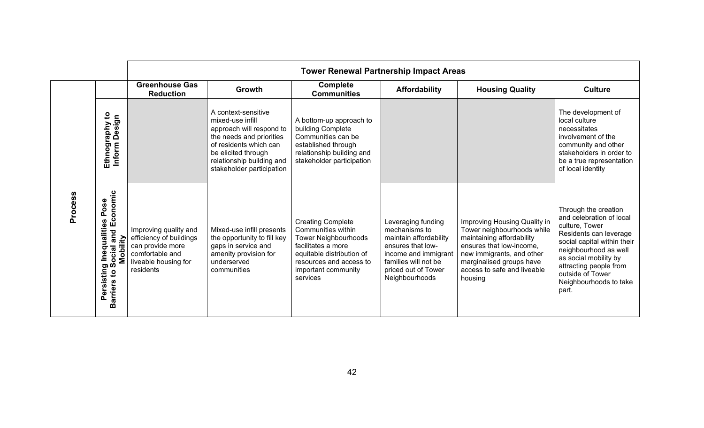|         |                                                                                                                                                 | <b>Tower Renewal Partnership Impact Areas</b>                                                                                |                                                                                                                                                                                                            |                                                                                                                                                                                                |                                                                                                                                                                             |                                                                                                                                                                                                                        |                                                                                                                                                                                                                                                                |
|---------|-------------------------------------------------------------------------------------------------------------------------------------------------|------------------------------------------------------------------------------------------------------------------------------|------------------------------------------------------------------------------------------------------------------------------------------------------------------------------------------------------------|------------------------------------------------------------------------------------------------------------------------------------------------------------------------------------------------|-----------------------------------------------------------------------------------------------------------------------------------------------------------------------------|------------------------------------------------------------------------------------------------------------------------------------------------------------------------------------------------------------------------|----------------------------------------------------------------------------------------------------------------------------------------------------------------------------------------------------------------------------------------------------------------|
|         |                                                                                                                                                 | <b>Greenhouse Gas</b><br><b>Reduction</b>                                                                                    | <b>Growth</b>                                                                                                                                                                                              | <b>Complete</b><br><b>Communities</b>                                                                                                                                                          | <b>Affordability</b>                                                                                                                                                        | <b>Housing Quality</b>                                                                                                                                                                                                 | <b>Culture</b>                                                                                                                                                                                                                                                 |
| Process | $\mathbf{c}$<br>Ethnography to<br>Inform Design<br>Npd<br>Ethnogr                                                                               |                                                                                                                              | A context-sensitive<br>mixed-use infill<br>approach will respond to<br>the needs and priorities<br>of residents which can<br>be elicited through<br>relationship building and<br>stakeholder participation | A bottom-up approach to<br>building Complete<br>Communities can be<br>established through<br>relationship building and<br>stakeholder participation                                            |                                                                                                                                                                             |                                                                                                                                                                                                                        | The development of<br>local culture<br>necessitates<br>involvement of the<br>community and other<br>stakeholders in order to<br>be a true representation<br>of local identity                                                                                  |
|         | onomic<br>မ္တ<br>$\circ$<br>௳<br>and Ec<br>S)<br>Inequalitie<br>Mobility<br>ocial<br><b>SC</b><br>Persisting<br>$\mathbf{S}$<br><b>Barriers</b> | Improving quality and<br>efficiency of buildings<br>can provide more<br>comfortable and<br>liveable housing for<br>residents | Mixed-use infill presents<br>the opportunity to fill key<br>gaps in service and<br>amenity provision for<br>underserved<br>communities                                                                     | <b>Creating Complete</b><br>Communities within<br><b>Tower Neighbourhoods</b><br>facilitates a more<br>equitable distribution of<br>resources and access to<br>important community<br>services | Leveraging funding<br>mechanisms to<br>maintain affordability<br>ensures that low-<br>income and immigrant<br>families will not be<br>priced out of Tower<br>Neighbourhoods | Improving Housing Quality in<br>Tower neighbourhoods while<br>maintaining affordability<br>ensures that low-income,<br>new immigrants, and other<br>marginalised groups have<br>access to safe and liveable<br>housing | Through the creation<br>and celebration of local<br>culture, Tower<br>Residents can leverage<br>social capital within their<br>neighbourhood as well<br>as social mobility by<br>attracting people from<br>outside of Tower<br>Neighbourhoods to take<br>part. |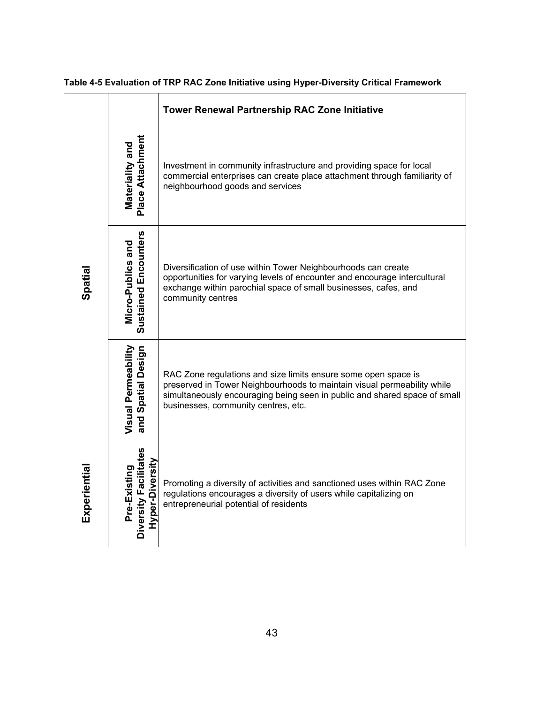|              |                                                          | <b>Tower Renewal Partnership RAC Zone Initiative</b>                                                                                                                                                                                                          |  |  |
|--------------|----------------------------------------------------------|---------------------------------------------------------------------------------------------------------------------------------------------------------------------------------------------------------------------------------------------------------------|--|--|
| Spatial      | Place Attachment<br>Materiality and                      | Investment in community infrastructure and providing space for local<br>commercial enterprises can create place attachment through familiarity of<br>neighbourhood goods and services                                                                         |  |  |
|              | Sustained Encounters<br>Micro-Publics and                | Diversification of use within Tower Neighbourhoods can create<br>opportunities for varying levels of encounter and encourage intercultural<br>exchange within parochial space of small businesses, cafes, and<br>community centres                            |  |  |
|              | Visual Permeability<br>and Spatial Design                | RAC Zone regulations and size limits ensure some open space is<br>preserved in Tower Neighbourhoods to maintain visual permeability while<br>simultaneously encouraging being seen in public and shared space of small<br>businesses, community centres, etc. |  |  |
| Experiential | Diversity Facilitates<br>Hyper-Diversity<br>Pre-Existing | Promoting a diversity of activities and sanctioned uses within RAC Zone<br>regulations encourages a diversity of users while capitalizing on<br>entrepreneurial potential of residents                                                                        |  |  |

## <span id="page-49-0"></span>**Table 4-5 Evaluation of TRP RAC Zone Initiative using Hyper-Diversity Critical Framework**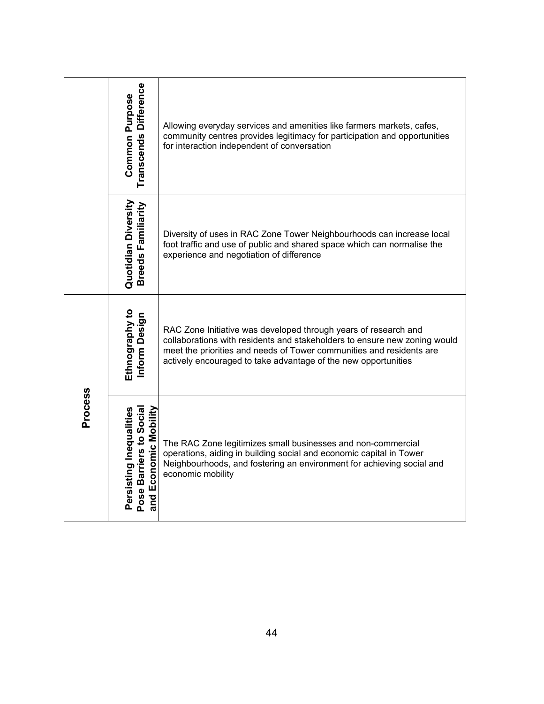|                | Transcends Difference<br><b>Common Purpose</b>                              | Allowing everyday services and amenities like farmers markets, cafes,<br>community centres provides legitimacy for participation and opportunities<br>for interaction independent of conversation                                                                                      |
|----------------|-----------------------------------------------------------------------------|----------------------------------------------------------------------------------------------------------------------------------------------------------------------------------------------------------------------------------------------------------------------------------------|
|                | Quotidian Diversity<br>Breeds Familiarity                                   | Diversity of uses in RAC Zone Tower Neighbourhoods can increase local<br>foot traffic and use of public and shared space which can normalise the<br>experience and negotiation of difference                                                                                           |
| <b>Process</b> | Ethnography to<br>Inform Design                                             | RAC Zone Initiative was developed through years of research and<br>collaborations with residents and stakeholders to ensure new zoning would<br>meet the priorities and needs of Tower communities and residents are<br>actively encouraged to take advantage of the new opportunities |
|                | Pose Barriers to Social<br>and Economic Mobility<br>Persisting Inequalities | The RAC Zone legitimizes small businesses and non-commercial<br>operations, aiding in building social and economic capital in Tower<br>Neighbourhoods, and fostering an environment for achieving social and<br>economic mobility                                                      |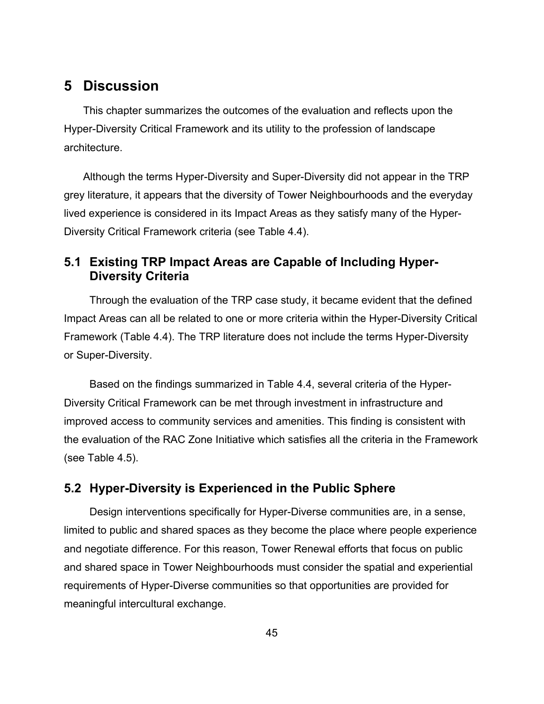# <span id="page-51-0"></span>**5 Discussion**

This chapter summarizes the outcomes of the evaluation and reflects upon the Hyper-Diversity Critical Framework and its utility to the profession of landscape architecture.

Although the terms Hyper-Diversity and Super-Diversity did not appear in the TRP grey literature, it appears that the diversity of Tower Neighbourhoods and the everyday lived experience is considered in its Impact Areas as they satisfy many of the Hyper-Diversity Critical Framework criteria (see Table 4.4).

## <span id="page-51-1"></span>**5.1 Existing TRP Impact Areas are Capable of Including Hyper-Diversity Criteria**

Through the evaluation of the TRP case study, it became evident that the defined Impact Areas can all be related to one or more criteria within the Hyper-Diversity Critical Framework (Table 4.4). The TRP literature does not include the terms Hyper-Diversity or Super-Diversity.

Based on the findings summarized in Table 4.4, several criteria of the Hyper-Diversity Critical Framework can be met through investment in infrastructure and improved access to community services and amenities. This finding is consistent with the evaluation of the RAC Zone Initiative which satisfies all the criteria in the Framework (see Table 4.5).

## <span id="page-51-2"></span>**5.2 Hyper-Diversity is Experienced in the Public Sphere**

Design interventions specifically for Hyper-Diverse communities are, in a sense, limited to public and shared spaces as they become the place where people experience and negotiate difference. For this reason, Tower Renewal efforts that focus on public and shared space in Tower Neighbourhoods must consider the spatial and experiential requirements of Hyper-Diverse communities so that opportunities are provided for meaningful intercultural exchange.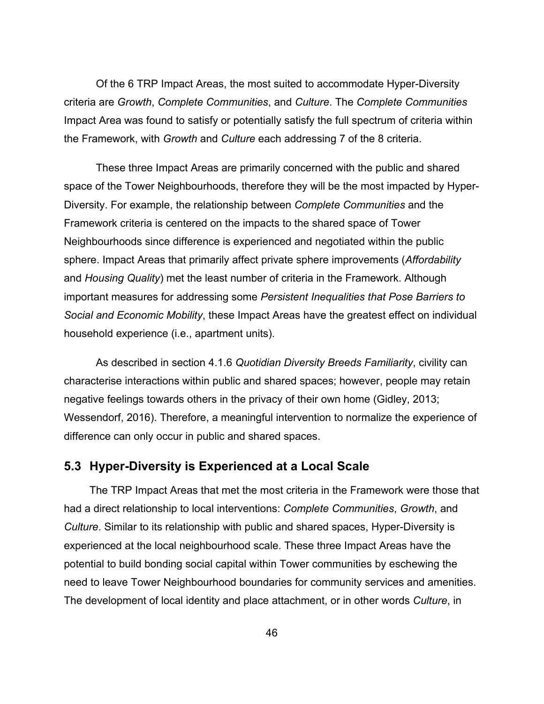Of the 6 TRP Impact Areas, the most suited to accommodate Hyper-Diversity criteria are *Growth*, *Complete Communities*, and *Culture*. The *Complete Communities* Impact Area was found to satisfy or potentially satisfy the full spectrum of criteria within the Framework, with *Growth* and *Culture* each addressing 7 of the 8 criteria.

These three Impact Areas are primarily concerned with the public and shared space of the Tower Neighbourhoods, therefore they will be the most impacted by Hyper-Diversity. For example, the relationship between *Complete Communities* and the Framework criteria is centered on the impacts to the shared space of Tower Neighbourhoods since difference is experienced and negotiated within the public sphere. Impact Areas that primarily affect private sphere improvements (*Affordability* and *Housing Quality*) met the least number of criteria in the Framework. Although important measures for addressing some *Persistent Inequalities that Pose Barriers to Social and Economic Mobility*, these Impact Areas have the greatest effect on individual household experience (i.e., apartment units).

As described in section 4.1.6 *Quotidian Diversity Breeds Familiarity*, civility can characterise interactions within public and shared spaces; however, people may retain negative feelings towards others in the privacy of their own home (Gidley, 2013; Wessendorf, 2016). Therefore, a meaningful intervention to normalize the experience of difference can only occur in public and shared spaces.

## <span id="page-52-0"></span>**5.3 Hyper-Diversity is Experienced at a Local Scale**

The TRP Impact Areas that met the most criteria in the Framework were those that had a direct relationship to local interventions: *Complete Communities*, *Growth*, and *Culture*. Similar to its relationship with public and shared spaces, Hyper-Diversity is experienced at the local neighbourhood scale. These three Impact Areas have the potential to build bonding social capital within Tower communities by eschewing the need to leave Tower Neighbourhood boundaries for community services and amenities. The development of local identity and place attachment, or in other words *Culture*, in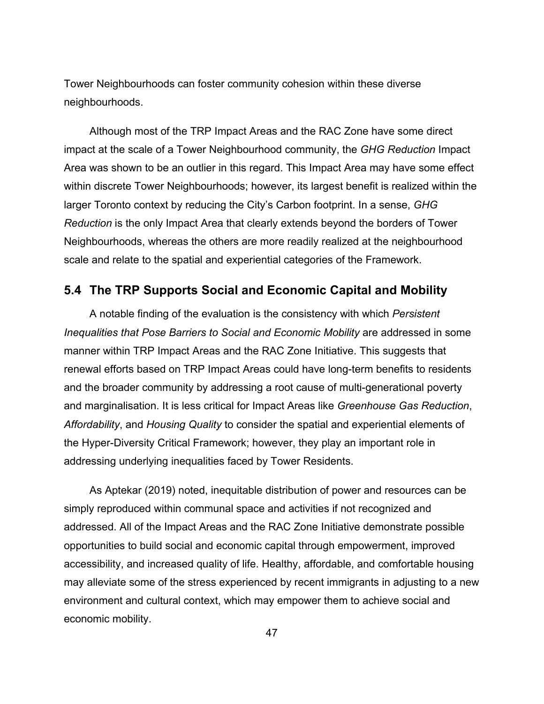Tower Neighbourhoods can foster community cohesion within these diverse neighbourhoods.

Although most of the TRP Impact Areas and the RAC Zone have some direct impact at the scale of a Tower Neighbourhood community, the *GHG Reduction* Impact Area was shown to be an outlier in this regard. This Impact Area may have some effect within discrete Tower Neighbourhoods; however, its largest benefit is realized within the larger Toronto context by reducing the City's Carbon footprint. In a sense, *GHG Reduction* is the only Impact Area that clearly extends beyond the borders of Tower Neighbourhoods, whereas the others are more readily realized at the neighbourhood scale and relate to the spatial and experiential categories of the Framework.

## <span id="page-53-0"></span>**5.4 The TRP Supports Social and Economic Capital and Mobility**

A notable finding of the evaluation is the consistency with which *Persistent Inequalities that Pose Barriers to Social and Economic Mobility* are addressed in some manner within TRP Impact Areas and the RAC Zone Initiative. This suggests that renewal efforts based on TRP Impact Areas could have long-term benefits to residents and the broader community by addressing a root cause of multi-generational poverty and marginalisation. It is less critical for Impact Areas like *Greenhouse Gas Reduction*, *Affordability*, and *Housing Quality* to consider the spatial and experiential elements of the Hyper-Diversity Critical Framework; however, they play an important role in addressing underlying inequalities faced by Tower Residents.

As Aptekar (2019) noted, inequitable distribution of power and resources can be simply reproduced within communal space and activities if not recognized and addressed. All of the Impact Areas and the RAC Zone Initiative demonstrate possible opportunities to build social and economic capital through empowerment, improved accessibility, and increased quality of life. Healthy, affordable, and comfortable housing may alleviate some of the stress experienced by recent immigrants in adjusting to a new environment and cultural context, which may empower them to achieve social and economic mobility.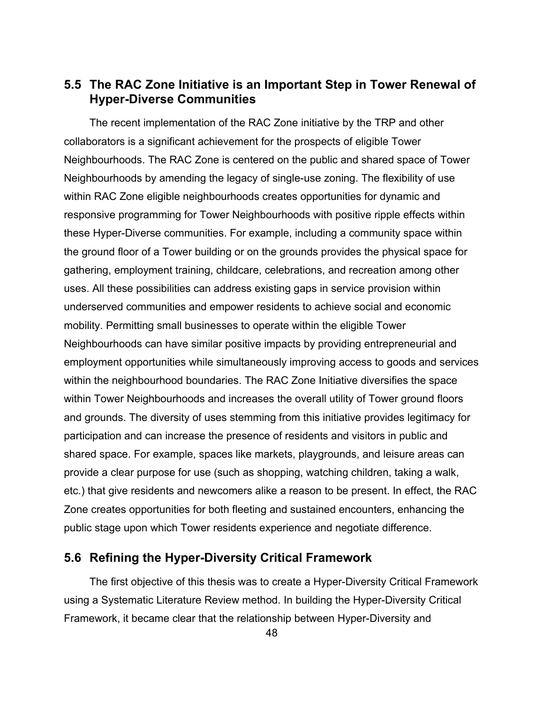## <span id="page-54-0"></span>**5.5 The RAC Zone Initiative is an Important Step in Tower Renewal of Hyper-Diverse Communities**

The recent implementation of the RAC Zone initiative by the TRP and other collaborators is a significant achievement for the prospects of eligible Tower Neighbourhoods. The RAC Zone is centered on the public and shared space of Tower Neighbourhoods by amending the legacy of single-use zoning. The flexibility of use within RAC Zone eligible neighbourhoods creates opportunities for dynamic and responsive programming for Tower Neighbourhoods with positive ripple effects within these Hyper-Diverse communities. For example, including a community space within the ground floor of a Tower building or on the grounds provides the physical space for gathering, employment training, childcare, celebrations, and recreation among other uses. All these possibilities can address existing gaps in service provision within underserved communities and empower residents to achieve social and economic mobility. Permitting small businesses to operate within the eligible Tower Neighbourhoods can have similar positive impacts by providing entrepreneurial and employment opportunities while simultaneously improving access to goods and services within the neighbourhood boundaries. The RAC Zone Initiative diversifies the space within Tower Neighbourhoods and increases the overall utility of Tower ground floors and grounds. The diversity of uses stemming from this initiative provides legitimacy for participation and can increase the presence of residents and visitors in public and shared space. For example, spaces like markets, playgrounds, and leisure areas can provide a clear purpose for use (such as shopping, watching children, taking a walk, etc.) that give residents and newcomers alike a reason to be present. In effect, the RAC Zone creates opportunities for both fleeting and sustained encounters, enhancing the public stage upon which Tower residents experience and negotiate difference.

### <span id="page-54-1"></span>**5.6 Refining the Hyper-Diversity Critical Framework**

The first objective of this thesis was to create a Hyper-Diversity Critical Framework using a Systematic Literature Review method. In building the Hyper-Diversity Critical Framework, it became clear that the relationship between Hyper-Diversity and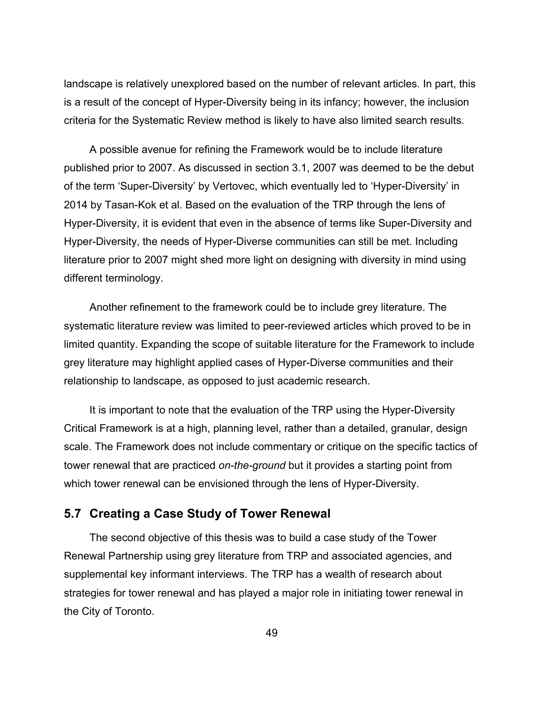landscape is relatively unexplored based on the number of relevant articles. In part, this is a result of the concept of Hyper-Diversity being in its infancy; however, the inclusion criteria for the Systematic Review method is likely to have also limited search results.

A possible avenue for refining the Framework would be to include literature published prior to 2007. As discussed in section 3.1, 2007 was deemed to be the debut of the term 'Super-Diversity' by Vertovec, which eventually led to 'Hyper-Diversity' in 2014 by Tasan-Kok et al. Based on the evaluation of the TRP through the lens of Hyper-Diversity, it is evident that even in the absence of terms like Super-Diversity and Hyper-Diversity, the needs of Hyper-Diverse communities can still be met. Including literature prior to 2007 might shed more light on designing with diversity in mind using different terminology.

Another refinement to the framework could be to include grey literature. The systematic literature review was limited to peer-reviewed articles which proved to be in limited quantity. Expanding the scope of suitable literature for the Framework to include grey literature may highlight applied cases of Hyper-Diverse communities and their relationship to landscape, as opposed to just academic research.

It is important to note that the evaluation of the TRP using the Hyper-Diversity Critical Framework is at a high, planning level, rather than a detailed, granular, design scale. The Framework does not include commentary or critique on the specific tactics of tower renewal that are practiced *on-the-ground* but it provides a starting point from which tower renewal can be envisioned through the lens of Hyper-Diversity.

### <span id="page-55-0"></span>**5.7 Creating a Case Study of Tower Renewal**

The second objective of this thesis was to build a case study of the Tower Renewal Partnership using grey literature from TRP and associated agencies, and supplemental key informant interviews. The TRP has a wealth of research about strategies for tower renewal and has played a major role in initiating tower renewal in the City of Toronto.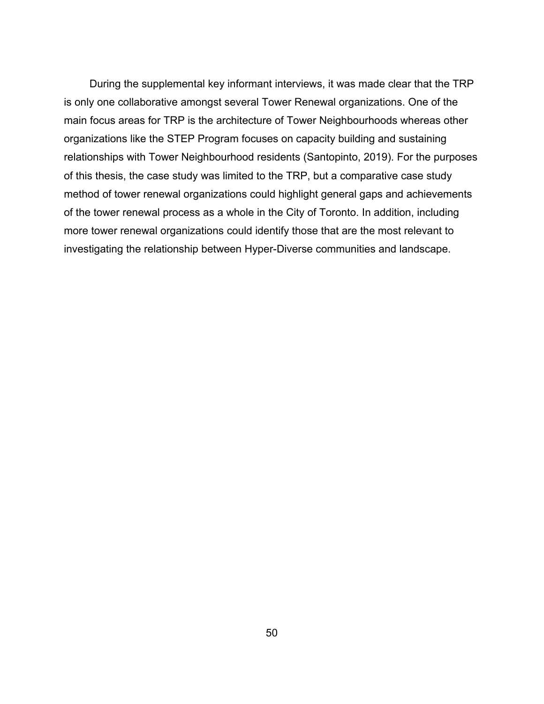During the supplemental key informant interviews, it was made clear that the TRP is only one collaborative amongst several Tower Renewal organizations. One of the main focus areas for TRP is the architecture of Tower Neighbourhoods whereas other organizations like the STEP Program focuses on capacity building and sustaining relationships with Tower Neighbourhood residents (Santopinto, 2019). For the purposes of this thesis, the case study was limited to the TRP, but a comparative case study method of tower renewal organizations could highlight general gaps and achievements of the tower renewal process as a whole in the City of Toronto. In addition, including more tower renewal organizations could identify those that are the most relevant to investigating the relationship between Hyper-Diverse communities and landscape.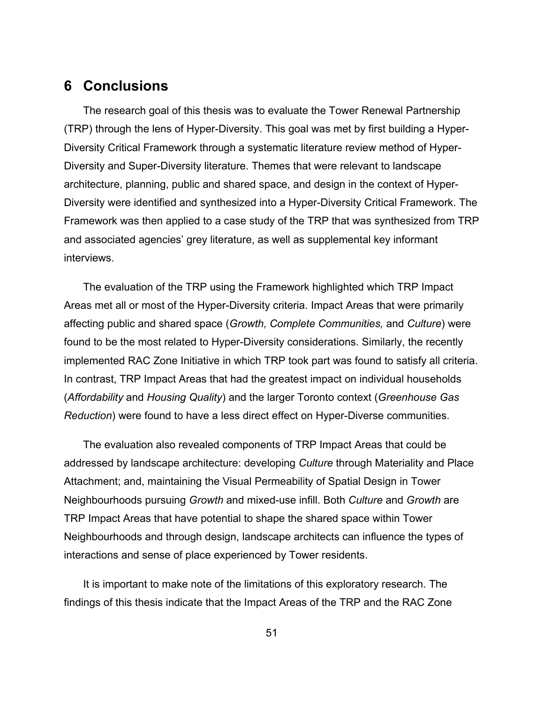# <span id="page-57-0"></span>**6 Conclusions**

The research goal of this thesis was to evaluate the Tower Renewal Partnership (TRP) through the lens of Hyper-Diversity. This goal was met by first building a Hyper-Diversity Critical Framework through a systematic literature review method of Hyper-Diversity and Super-Diversity literature. Themes that were relevant to landscape architecture, planning, public and shared space, and design in the context of Hyper-Diversity were identified and synthesized into a Hyper-Diversity Critical Framework. The Framework was then applied to a case study of the TRP that was synthesized from TRP and associated agencies' grey literature, as well as supplemental key informant interviews.

The evaluation of the TRP using the Framework highlighted which TRP Impact Areas met all or most of the Hyper-Diversity criteria. Impact Areas that were primarily affecting public and shared space (*Growth, Complete Communities,* and *Culture*) were found to be the most related to Hyper-Diversity considerations. Similarly, the recently implemented RAC Zone Initiative in which TRP took part was found to satisfy all criteria. In contrast, TRP Impact Areas that had the greatest impact on individual households (*Affordability* and *Housing Quality*) and the larger Toronto context (*Greenhouse Gas Reduction*) were found to have a less direct effect on Hyper-Diverse communities.

The evaluation also revealed components of TRP Impact Areas that could be addressed by landscape architecture: developing *Culture* through Materiality and Place Attachment; and, maintaining the Visual Permeability of Spatial Design in Tower Neighbourhoods pursuing *Growth* and mixed-use infill. Both *Culture* and *Growth* are TRP Impact Areas that have potential to shape the shared space within Tower Neighbourhoods and through design, landscape architects can influence the types of interactions and sense of place experienced by Tower residents.

It is important to make note of the limitations of this exploratory research. The findings of this thesis indicate that the Impact Areas of the TRP and the RAC Zone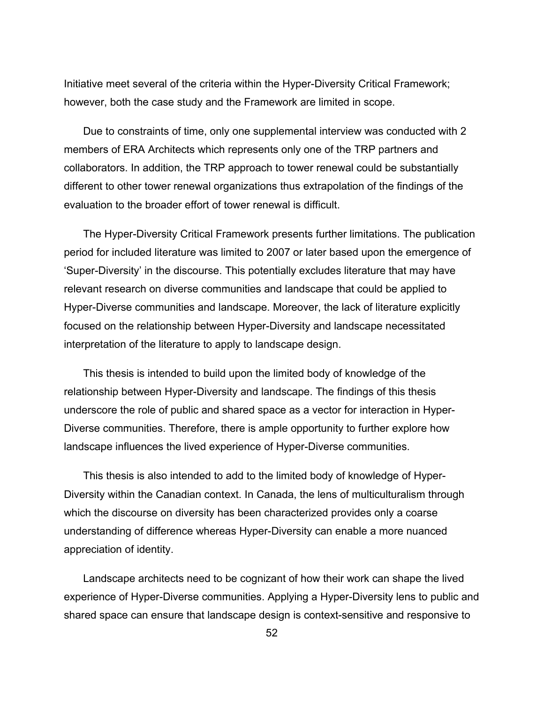Initiative meet several of the criteria within the Hyper-Diversity Critical Framework; however, both the case study and the Framework are limited in scope.

Due to constraints of time, only one supplemental interview was conducted with 2 members of ERA Architects which represents only one of the TRP partners and collaborators. In addition, the TRP approach to tower renewal could be substantially different to other tower renewal organizations thus extrapolation of the findings of the evaluation to the broader effort of tower renewal is difficult.

The Hyper-Diversity Critical Framework presents further limitations. The publication period for included literature was limited to 2007 or later based upon the emergence of 'Super-Diversity' in the discourse. This potentially excludes literature that may have relevant research on diverse communities and landscape that could be applied to Hyper-Diverse communities and landscape. Moreover, the lack of literature explicitly focused on the relationship between Hyper-Diversity and landscape necessitated interpretation of the literature to apply to landscape design.

This thesis is intended to build upon the limited body of knowledge of the relationship between Hyper-Diversity and landscape. The findings of this thesis underscore the role of public and shared space as a vector for interaction in Hyper-Diverse communities. Therefore, there is ample opportunity to further explore how landscape influences the lived experience of Hyper-Diverse communities.

This thesis is also intended to add to the limited body of knowledge of Hyper-Diversity within the Canadian context. In Canada, the lens of multiculturalism through which the discourse on diversity has been characterized provides only a coarse understanding of difference whereas Hyper-Diversity can enable a more nuanced appreciation of identity.

Landscape architects need to be cognizant of how their work can shape the lived experience of Hyper-Diverse communities. Applying a Hyper-Diversity lens to public and shared space can ensure that landscape design is context-sensitive and responsive to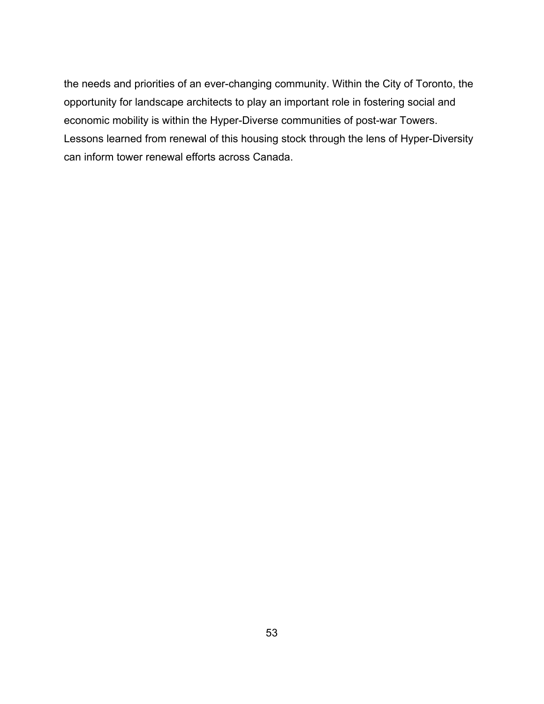the needs and priorities of an ever-changing community. Within the City of Toronto, the opportunity for landscape architects to play an important role in fostering social and economic mobility is within the Hyper-Diverse communities of post-war Towers. Lessons learned from renewal of this housing stock through the lens of Hyper-Diversity can inform tower renewal efforts across Canada.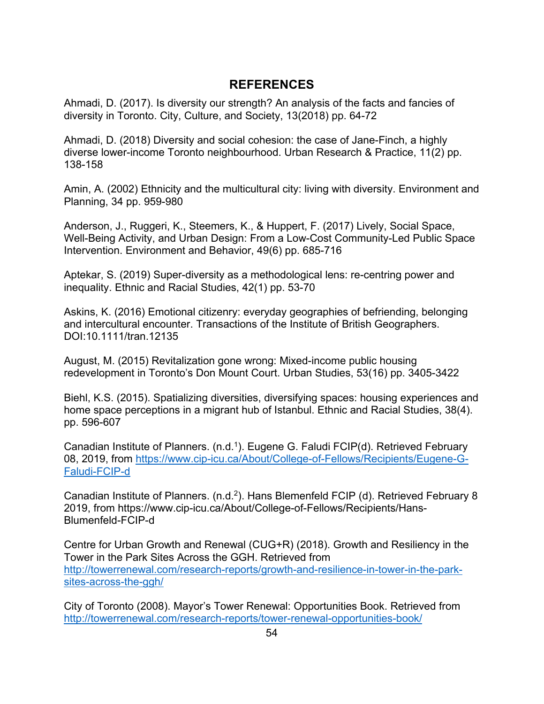## **REFERENCES**

<span id="page-60-0"></span>Ahmadi, D. (2017). Is diversity our strength? An analysis of the facts and fancies of diversity in Toronto. City, Culture, and Society, 13(2018) pp. 64-72

Ahmadi, D. (2018) Diversity and social cohesion: the case of Jane-Finch, a highly diverse lower-income Toronto neighbourhood. Urban Research & Practice, 11(2) pp. 138-158

Amin, A. (2002) Ethnicity and the multicultural city: living with diversity. Environment and Planning, 34 pp. 959-980

Anderson, J., Ruggeri, K., Steemers, K., & Huppert, F. (2017) Lively, Social Space, Well-Being Activity, and Urban Design: From a Low-Cost Community-Led Public Space Intervention. Environment and Behavior, 49(6) pp. 685-716

Aptekar, S. (2019) Super-diversity as a methodological lens: re-centring power and inequality. Ethnic and Racial Studies, 42(1) pp. 53-70

Askins, K. (2016) Emotional citizenry: everyday geographies of befriending, belonging and intercultural encounter. Transactions of the Institute of British Geographers. DOI:10.1111/tran.12135

August, M. (2015) Revitalization gone wrong: Mixed-income public housing redevelopment in Toronto's Don Mount Court. Urban Studies, 53(16) pp. 3405-3422

Biehl, K.S. (2015). Spatializing diversities, diversifying spaces: housing experiences and home space perceptions in a migrant hub of Istanbul. Ethnic and Racial Studies, 38(4). pp. 596-607

Canadian Institute of Planners. (n.d.1). Eugene G. Faludi FCIP(d). Retrieved February 08, 2019, from [https://www.cip-icu.ca/About/College-of-Fellows/Recipients/Eugene-G-](https://www.cip-icu.ca/About/College-of-Fellows/Recipients/Eugene-G-Faludi-FCIP-d)[Faludi-FCIP-d](https://www.cip-icu.ca/About/College-of-Fellows/Recipients/Eugene-G-Faludi-FCIP-d)

Canadian Institute of Planners. (n.d.<sup>2</sup>). Hans Blemenfeld FCIP (d). Retrieved February 8 2019, from https://www.cip-icu.ca/About/College-of-Fellows/Recipients/Hans-Blumenfeld-FCIP-d

Centre for Urban Growth and Renewal (CUG+R) (2018). Growth and Resiliency in the Tower in the Park Sites Across the GGH. Retrieved from [http://towerrenewal.com/research-reports/growth-and-resilience-in-tower-in-the-park](http://towerrenewal.com/research-reports/growth-and-resilience-in-tower-in-the-park-sites-across-the-ggh/)[sites-across-the-ggh/](http://towerrenewal.com/research-reports/growth-and-resilience-in-tower-in-the-park-sites-across-the-ggh/)

City of Toronto (2008). Mayor's Tower Renewal: Opportunities Book. Retrieved from <http://towerrenewal.com/research-reports/tower-renewal-opportunities-book/>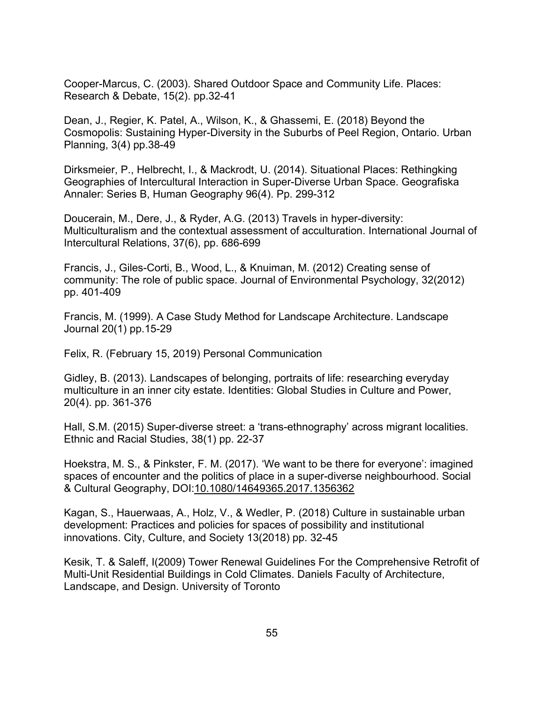Cooper-Marcus, C. (2003). Shared Outdoor Space and Community Life. Places: Research & Debate, 15(2). pp.32-41

Dean, J., Regier, K. Patel, A., Wilson, K., & Ghassemi, E. (2018) Beyond the Cosmopolis: Sustaining Hyper-Diversity in the Suburbs of Peel Region, Ontario. Urban Planning, 3(4) pp.38-49

Dirksmeier, P., Helbrecht, I., & Mackrodt, U. (2014). Situational Places: Rethingking Geographies of Intercultural Interaction in Super-Diverse Urban Space. Geografiska Annaler: Series B, Human Geography 96(4). Pp. 299-312

Doucerain, M., Dere, J., & Ryder, A.G. (2013) Travels in hyper-diversity: Multiculturalism and the contextual assessment of acculturation. International Journal of Intercultural Relations, 37(6), pp. 686-699

Francis, J., Giles-Corti, B., Wood, L., & Knuiman, M. (2012) Creating sense of community: The role of public space. Journal of Environmental Psychology, 32(2012) pp. 401-409

Francis, M. (1999). A Case Study Method for Landscape Architecture. Landscape Journal 20(1) pp.15-29

Felix, R. (February 15, 2019) Personal Communication

Gidley, B. (2013). Landscapes of belonging, portraits of life: researching everyday multiculture in an inner city estate. Identities: Global Studies in Culture and Power, 20(4). pp. 361-376

Hall, S.M. (2015) Super-diverse street: a 'trans-ethnography' across migrant localities. Ethnic and Racial Studies, 38(1) pp. 22-37

Hoekstra, M. S., & Pinkster, F. M. (2017). 'We want to be there for everyone': imagined spaces of encounter and the politics of place in a super-diverse neighbourhood. Social & Cultural Geography, DOI:10.1080/14649365.2017.1356362

Kagan, S., Hauerwaas, A., Holz, V., & Wedler, P. (2018) Culture in sustainable urban development: Practices and policies for spaces of possibility and institutional innovations. City, Culture, and Society 13(2018) pp. 32-45

Kesik, T. & Saleff, I(2009) Tower Renewal Guidelines For the Comprehensive Retrofit of Multi-Unit Residential Buildings in Cold Climates. Daniels Faculty of Architecture, Landscape, and Design. University of Toronto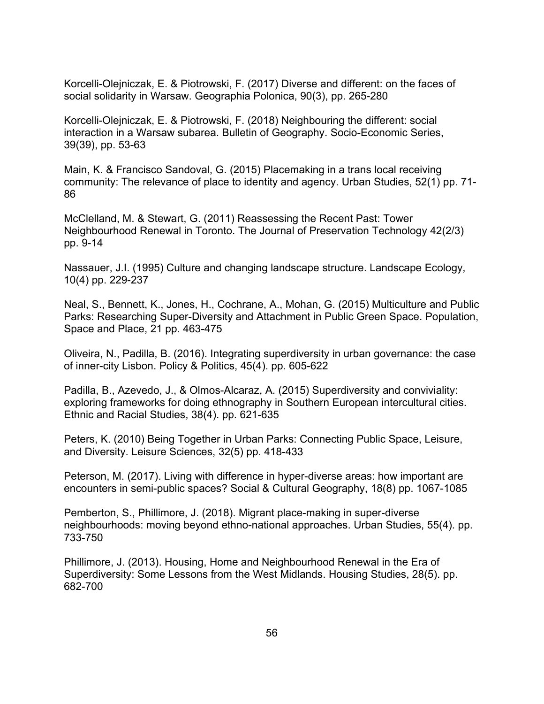Korcelli-Olejniczak, E. & Piotrowski, F. (2017) Diverse and different: on the faces of social solidarity in Warsaw. Geographia Polonica, 90(3), pp. 265-280

Korcelli-Olejniczak, E. & Piotrowski, F. (2018) Neighbouring the different: social interaction in a Warsaw subarea. Bulletin of Geography. Socio-Economic Series, 39(39), pp. 53-63

Main, K. & Francisco Sandoval, G. (2015) Placemaking in a trans local receiving community: The relevance of place to identity and agency. Urban Studies, 52(1) pp. 71- 86

McClelland, M. & Stewart, G. (2011) Reassessing the Recent Past: Tower Neighbourhood Renewal in Toronto. The Journal of Preservation Technology 42(2/3) pp. 9-14

Nassauer, J.I. (1995) Culture and changing landscape structure. Landscape Ecology, 10(4) pp. 229-237

Neal, S., Bennett, K., Jones, H., Cochrane, A., Mohan, G. (2015) Multiculture and Public Parks: Researching Super-Diversity and Attachment in Public Green Space. Population, Space and Place, 21 pp. 463-475

Oliveira, N., Padilla, B. (2016). Integrating superdiversity in urban governance: the case of inner-city Lisbon. Policy & Politics, 45(4). pp. 605-622

Padilla, B., Azevedo, J., & Olmos-Alcaraz, A. (2015) Superdiversity and conviviality: exploring frameworks for doing ethnography in Southern European intercultural cities. Ethnic and Racial Studies, 38(4). pp. 621-635

Peters, K. (2010) Being Together in Urban Parks: Connecting Public Space, Leisure, and Diversity. Leisure Sciences, 32(5) pp. 418-433

Peterson, M. (2017). Living with difference in hyper-diverse areas: how important are encounters in semi-public spaces? Social & Cultural Geography, 18(8) pp. 1067-1085

Pemberton, S., Phillimore, J. (2018). Migrant place-making in super-diverse neighbourhoods: moving beyond ethno-national approaches. Urban Studies, 55(4). pp. 733-750

Phillimore, J. (2013). Housing, Home and Neighbourhood Renewal in the Era of Superdiversity: Some Lessons from the West Midlands. Housing Studies, 28(5). pp. 682-700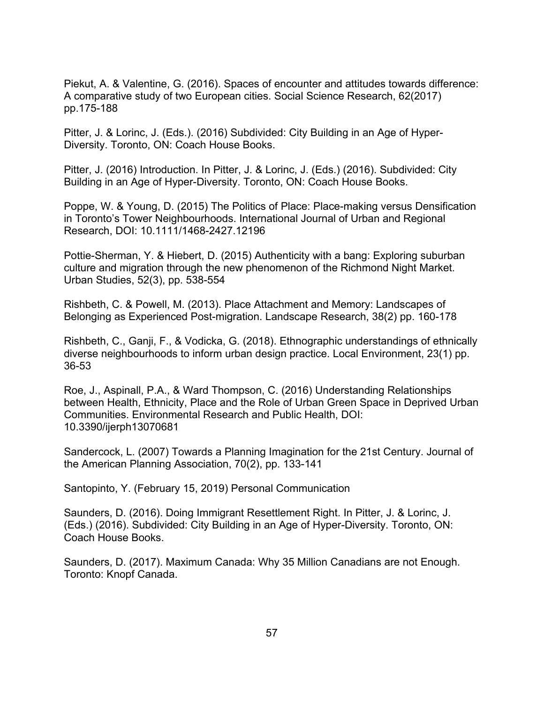Piekut, A. & Valentine, G. (2016). Spaces of encounter and attitudes towards difference: A comparative study of two European cities. Social Science Research, 62(2017) pp.175-188

Pitter, J. & Lorinc, J. (Eds.). (2016) Subdivided: City Building in an Age of Hyper-Diversity. Toronto, ON: Coach House Books.

Pitter, J. (2016) Introduction. In Pitter, J. & Lorinc, J. (Eds.) (2016). Subdivided: City Building in an Age of Hyper-Diversity. Toronto, ON: Coach House Books.

Poppe, W. & Young, D. (2015) The Politics of Place: Place-making versus Densification in Toronto's Tower Neighbourhoods. International Journal of Urban and Regional Research, DOI: 10.1111/1468-2427.12196

Pottie-Sherman, Y. & Hiebert, D. (2015) Authenticity with a bang: Exploring suburban culture and migration through the new phenomenon of the Richmond Night Market. Urban Studies, 52(3), pp. 538-554

Rishbeth, C. & Powell, M. (2013). Place Attachment and Memory: Landscapes of Belonging as Experienced Post-migration. Landscape Research, 38(2) pp. 160-178

Rishbeth, C., Ganji, F., & Vodicka, G. (2018). Ethnographic understandings of ethnically diverse neighbourhoods to inform urban design practice. Local Environment, 23(1) pp. 36-53

Roe, J., Aspinall, P.A., & Ward Thompson, C. (2016) Understanding Relationships between Health, Ethnicity, Place and the Role of Urban Green Space in Deprived Urban Communities. Environmental Research and Public Health, DOI: 10.3390/ijerph13070681

Sandercock, L. (2007) Towards a Planning Imagination for the 21st Century. Journal of the American Planning Association, 70(2), pp. 133-141

Santopinto, Y. (February 15, 2019) Personal Communication

Saunders, D. (2016). Doing Immigrant Resettlement Right. In Pitter, J. & Lorinc, J. (Eds.) (2016). Subdivided: City Building in an Age of Hyper-Diversity. Toronto, ON: Coach House Books.

Saunders, D. (2017). Maximum Canada: Why 35 Million Canadians are not Enough. Toronto: Knopf Canada.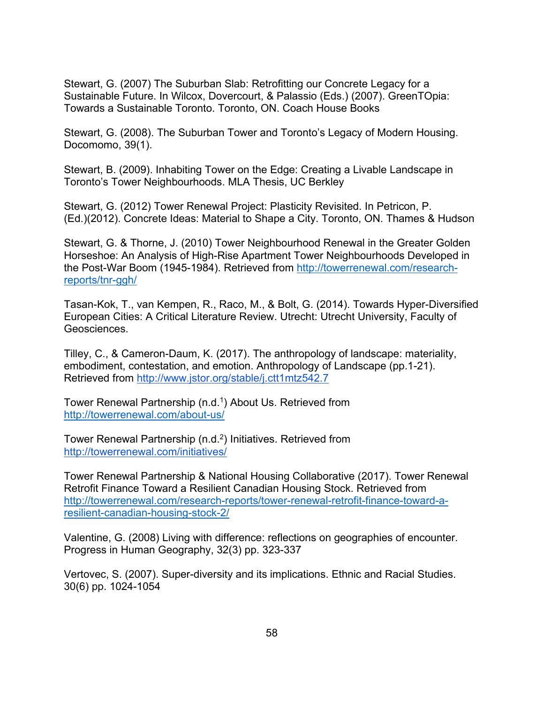Stewart, G. (2007) The Suburban Slab: Retrofitting our Concrete Legacy for a Sustainable Future. In Wilcox, Dovercourt, & Palassio (Eds.) (2007). GreenTOpia: Towards a Sustainable Toronto. Toronto, ON. Coach House Books

Stewart, G. (2008). The Suburban Tower and Toronto's Legacy of Modern Housing. Docomomo, 39(1).

Stewart, B. (2009). Inhabiting Tower on the Edge: Creating a Livable Landscape in Toronto's Tower Neighbourhoods. MLA Thesis, UC Berkley

Stewart, G. (2012) Tower Renewal Project: Plasticity Revisited. In Petricon, P. (Ed.)(2012). Concrete Ideas: Material to Shape a City. Toronto, ON. Thames & Hudson

Stewart, G. & Thorne, J. (2010) Tower Neighbourhood Renewal in the Greater Golden Horseshoe: An Analysis of High-Rise Apartment Tower Neighbourhoods Developed in the Post-War Boom (1945-1984). Retrieved from [http://towerrenewal.com/research](http://towerrenewal.com/research-reports/tnr-ggh/)[reports/tnr-ggh/](http://towerrenewal.com/research-reports/tnr-ggh/)

Tasan-Kok, T., van Kempen, R., Raco, M., & Bolt, G. (2014). Towards Hyper-Diversified European Cities: A Critical Literature Review. Utrecht: Utrecht University, Faculty of Geosciences.

Tilley, C., & Cameron-Daum, K. (2017). The anthropology of landscape: materiality, embodiment, contestation, and emotion. Anthropology of Landscape (pp.1-21). Retrieved from<http://www.jstor.org/stable/j.ctt1mtz542.7>

Tower Renewal Partnership (n.d.<sup>1</sup>) About Us. Retrieved from <http://towerrenewal.com/about-us/>

Tower Renewal Partnership (n.d.<sup>2</sup>) Initiatives. Retrieved from <http://towerrenewal.com/initiatives/>

Tower Renewal Partnership & National Housing Collaborative (2017). Tower Renewal Retrofit Finance Toward a Resilient Canadian Housing Stock. Retrieved from [http://towerrenewal.com/research-reports/tower-renewal-retrofit-finance-toward-a](http://towerrenewal.com/research-reports/tower-renewal-retrofit-finance-toward-a-resilient-canadian-housing-stock-2/)[resilient-canadian-housing-stock-2/](http://towerrenewal.com/research-reports/tower-renewal-retrofit-finance-toward-a-resilient-canadian-housing-stock-2/)

Valentine, G. (2008) Living with difference: reflections on geographies of encounter. Progress in Human Geography, 32(3) pp. 323-337

Vertovec, S. (2007). Super-diversity and its implications. Ethnic and Racial Studies. 30(6) pp. 1024-1054